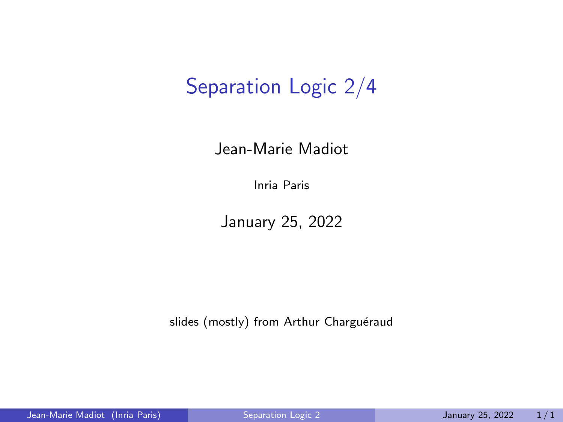# <span id="page-0-0"></span>Separation Logic 2/4

#### Jean-Marie Madiot

Inria Paris

January 25, 2022

slides (mostly) from Arthur Charguéraud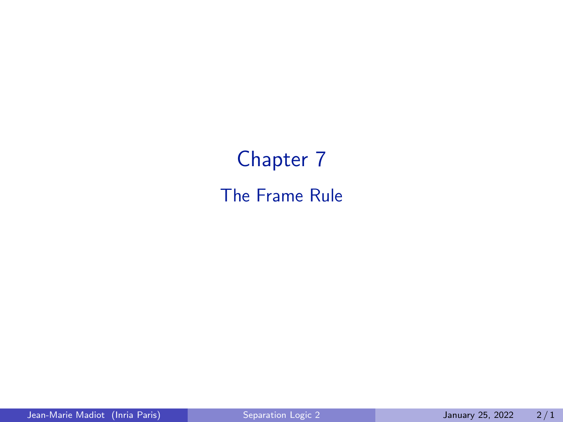# Chapter 7 The Frame Rule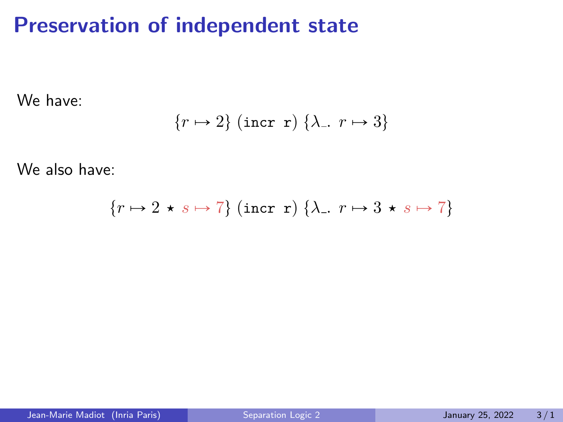### Preservation of independent state

We have:

$$
\{r \mapsto 2\} \text{ (incr r) } \{\lambda_-, r \mapsto 3\}
$$

We also have:

$$
\{r \mapsto 2 \star s \mapsto 7\} \text{ (incr r) } \{\lambda_-, r \mapsto 3 \star s \mapsto 7\}
$$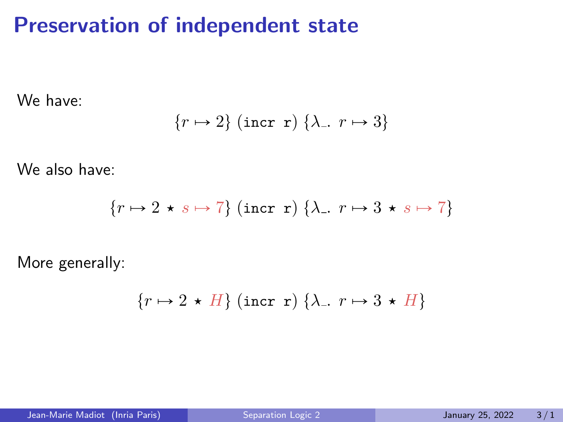### Preservation of independent state

We have:

$$
\{r \mapsto 2\} \text{ (incr r) } \{\lambda_-, r \mapsto 3\}
$$

We also have:

$$
\{r \mapsto 2 \star s \mapsto 7\} \text{ (incr r) } \{\lambda_-, r \mapsto 3 \star s \mapsto 7\}
$$

More generally:

$$
\{r \mapsto 2 \star H\} \text{ (incr r) } \{\lambda_-, r \mapsto 3 \star H\}
$$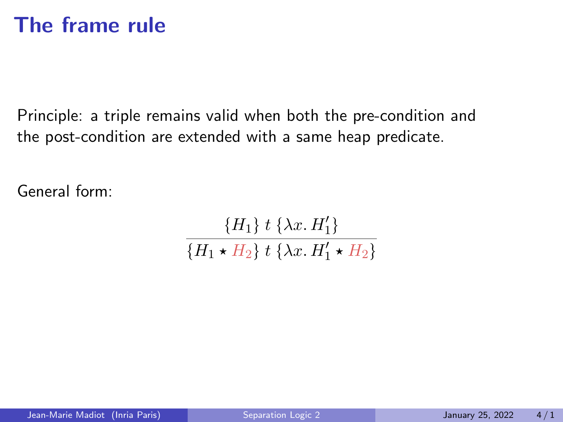### The frame rule

Principle: a triple remains valid when both the pre-condition and the post-condition are extended with a same heap predicate.

General form:

$$
\frac{\{H_1\} \, t \, \{\lambda x. \, H_1'\}}{\{H_1 \star H_2\} \, t \, \{\lambda x. \, H_1' \star H_2\}}
$$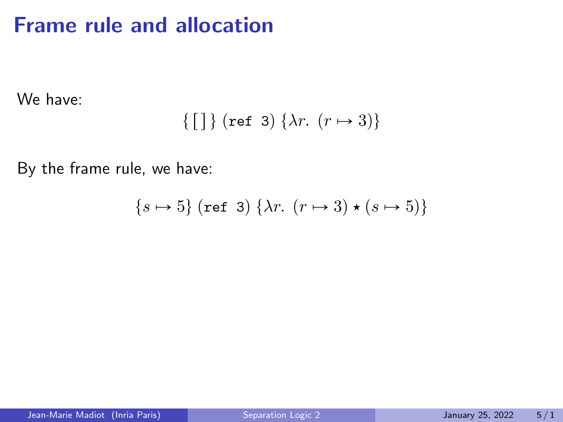### Frame rule and allocation

We have:

$$
\{\text{[\ ]}\} \text{ (ref 3) }\{\lambda r. \ (r \mapsto 3)\}
$$

By the frame rule, we have:

$$
\{s \mapsto 5\} \text{ (ref 3) } \{\lambda r. \ (r \mapsto 3) \star (s \mapsto 5)\}
$$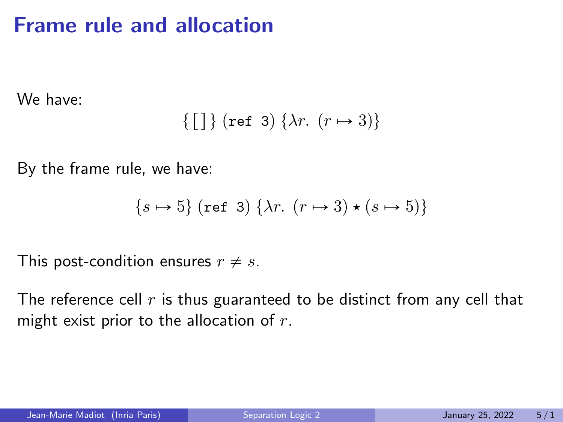### Frame rule and allocation

We have:

$$
\{\text{[\ ]}\} \text{ (ref 3) }\{\lambda r. \ (r \mapsto 3)\}
$$

By the frame rule, we have:

$$
{s \mapsto 5} \text{ (ref 3) } \{\lambda r. \ (r \mapsto 3) \star (s \mapsto 5)\}
$$

This post-condition ensures  $r \neq s$ .

The reference cell  $r$  is thus guaranteed to be distinct from any cell that might exist prior to the allocation of  $r$ .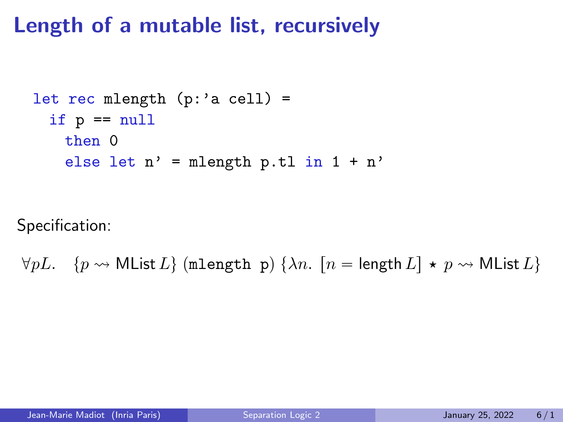### Length of a mutable list, recursively

```
let rec mlength (p: a cell) =
if p == nullthen 0
  else let n' = mlength p.tl in 1 + n'
```
Specification:

 $\forall pL. \quad \{p \rightsquigarrow \text{MList } L\} \text{ (mlength p) } \{\lambda n. \ [n = \text{length } L] \star p \rightsquigarrow \text{MList } L\}$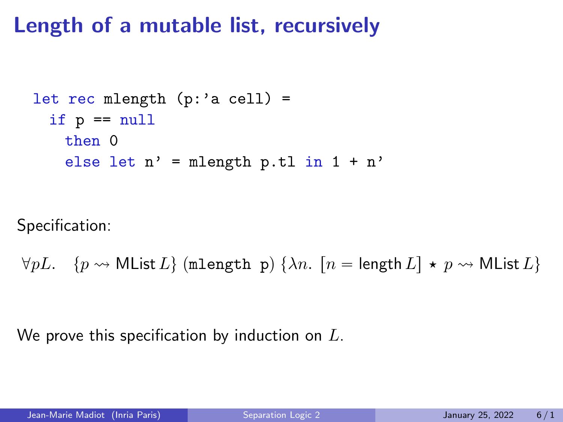### Length of a mutable list, recursively

```
let rec mlength (p: a cell) =
if p == nullthen 0
  else let n' = mlength p.tl in 1 + n'
```
Specification:

$$
\forall pL. \quad \{p \leadsto \text{MList } L\} \text{ (mlength p) } \{\lambda n. \ [n = \text{length } L] \star p \leadsto \text{MList } L\}
$$

We prove this specification by induction on  $L$ .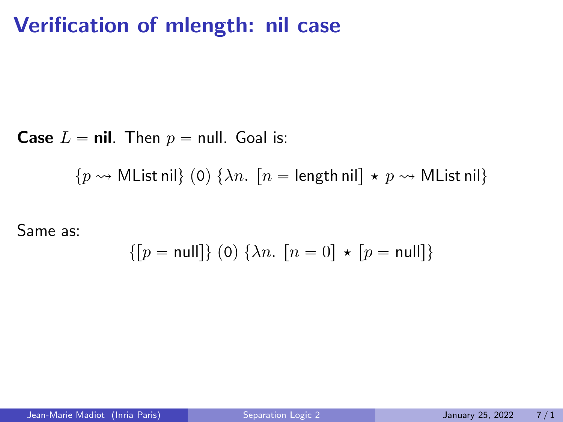### Verification of mlength: nil case

**Case**  $L = \textbf{nil}$ . Then  $p = \textbf{null}$ . Goal is:

 $\{p \leadsto M$ List nil $\}$  (0)  $\{\lambda n$ .  $[n = \text{length null} \star p \leadsto M$ List nil $\}$ 

Same as:

$$
\{[p=\text{null}]\}\ (0)\ \{\lambda n.\ [n=0]\ \star\ [p=\text{null}]\}
$$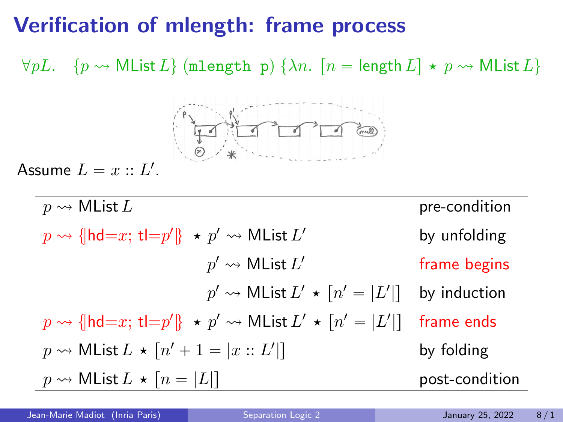### Verification of mlength: frame process

 $\forall pL. \quad \{p \leadsto \text{MList } L\} \text{ (mlength p) } \{\lambda n. \quad [n = \text{length } L] \star p \leadsto \text{MList } L\}$ 



Assume  $L = x :: L'.$ 

 $p \rightsquigarrow \mathsf{MList}\,L$  pre-condition  $p \rightsquigarrow \{\vert \mathsf{hd}{=}x; \, \mathsf{tl}{=}p'\} \; \star \; p' \rightsquigarrow \mathsf{MList}\, L$ by unfolding  $p' \leadsto \mathsf{MList}\,L'$ frame begins  $p' \rightsquigarrow \mathsf{MList}\,L' \, \star \, [n' = | L'$ by induction  $p \rightsquigarrow$  {|hd=x; t|= $p'$ |}  $\star$   $p' \rightsquigarrow$  MList  $L' \star$   $[n' = | L'$ frame ends  $p \rightsquigarrow \mathsf{MList}\,L \, \star \, [n'+1 = |x::L'$ by folding  $p \rightsquigarrow \mathsf{MList}\,L \star [n = |L|]$  post-condition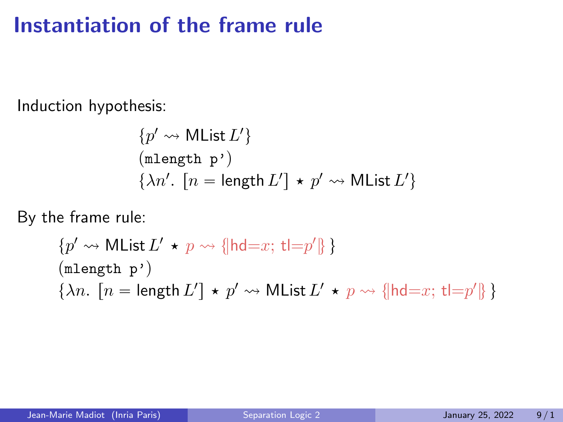### Instantiation of the frame rule

Induction hypothesis:

$$
\{p' \leadsto \text{MList } L'\}
$$
  
(mlength p')  

$$
\{\lambda n'. [n = length L'] \star p' \leadsto \text{MList } L'\}
$$

By the frame rule:

$$
\{p' \leadsto \text{MList } L' \star p \leadsto \{\text{hd}=x; \, \text{tl}=p'\}\}
$$
  
( $\text{mlength } p'$ )  
 $\{\lambda n. [n = \text{length } L'] \star p' \leadsto \text{MList } L' \star p \leadsto \{\text{hd}=x; \, \text{tl}=p'\}\}$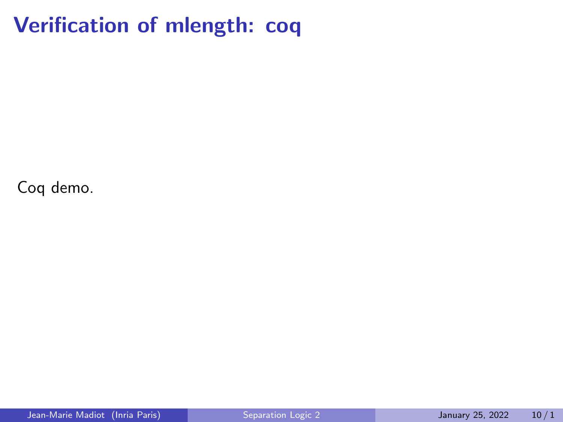### Verification of mlength: coq

Coq demo.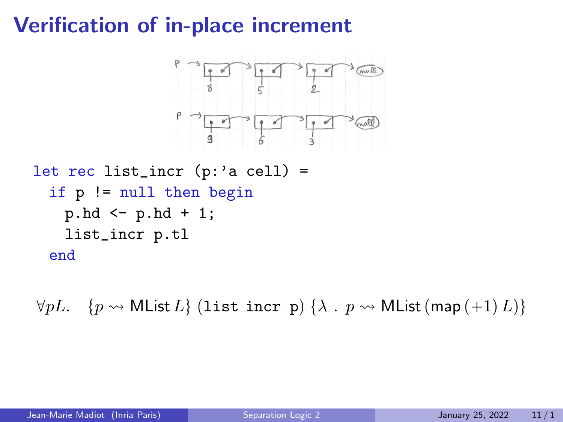# Verification of in-place increment



```
let rec list_incr (p: a cell) =
 if p != null then begin
  p.hd \le p.hd + 1;
  list_incr p.tl
 end
```
 $\forall pL. \quad \{p \leadsto \textsf{MList}\,L\}$  (list incr p)  $\{\lambda_-, p \leadsto \textsf{MList}\,(\textsf{map}\,(+1)\,L)\}$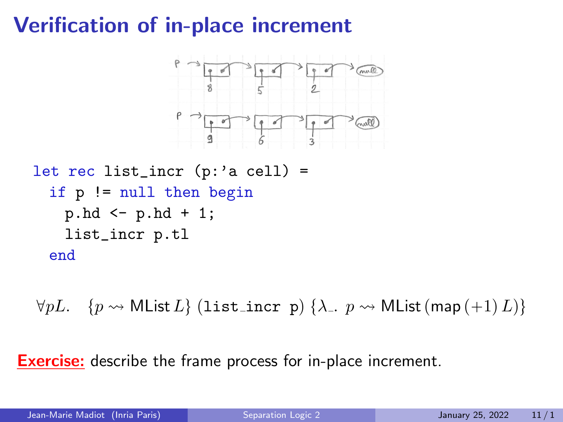# Verification of in-place increment



```
let rec list_incr (p: a cell) =
 if p != null then begin
  p.hd \leq p.hd + 1;
  list_incr p.tl
 end
```
 $\forall pL. \quad \{p \leadsto \textsf{MList}\,L\}$  (list incr p)  $\{\lambda_-, p \leadsto \textsf{MList}\,(\textsf{map}\,(+1)\,L)\}$ 

**Exercise:** describe the frame process for in-place increment.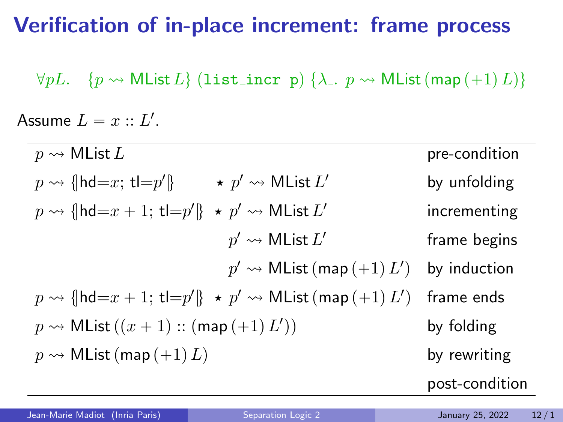### Verification of in-place increment: frame process

 $\forall pL. \quad \{p \leadsto \textsf{MList}\,L\} \text{ (list\_incr p) }\{\lambda_-, p \leadsto \textsf{MList}\,(\textsf{map}\,(+1)\,L)\}\$ 

Assume  $L = x :: L'.$ 

| $p \rightsquigarrow$ MList L                                                               | pre-condition  |
|--------------------------------------------------------------------------------------------|----------------|
| $\star \not\sim \mathsf{MList}\,L'$<br>$p \rightsquigarrow$ { hd=x; t = $p'$  }            | by unfolding   |
| $p \rightsquigarrow$ { hd=x + 1; t =p' } $\star$ p' $\rightsquigarrow$ MList L'            | incrementing   |
| $p' \rightsquigarrow$ MList $L'$                                                           | frame begins   |
| $p' \rightsquigarrow$ MList (map $(+1) L'$ )                                               | by induction   |
| $p \rightsquigarrow$ { hd=x + 1; t =p' } $\star$ p' $\rightsquigarrow$ MList (map (+1) L') | frame ends     |
| $p \rightsquigarrow$ MList $((x+1) :: (map (+1) L'))$                                      | by folding     |
| $p \rightsquigarrow$ MList (map $(+1) L$ )                                                 | by rewriting   |
|                                                                                            | post-condition |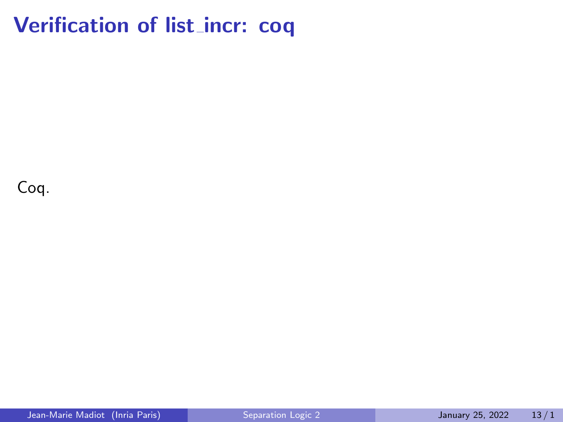### Verification of list\_incr: coq

Coq.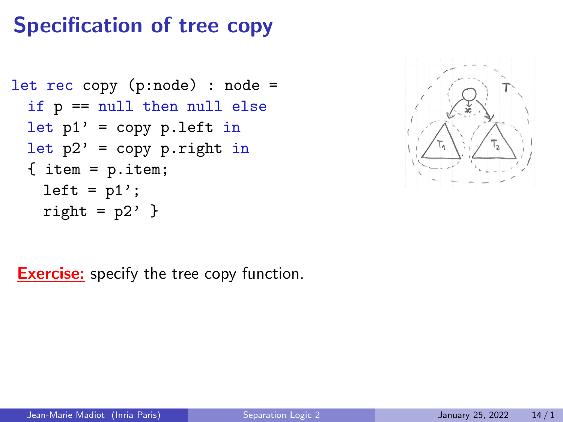# Specification of tree copy

```
let rec copy (p:node) : node =
if p == null then null else
let p1' = copy p.left in
let p2' = copy p.right in
{ item = p.item;
  left = p1';
  right = p2' }
```


**Exercise:** specify the tree copy function.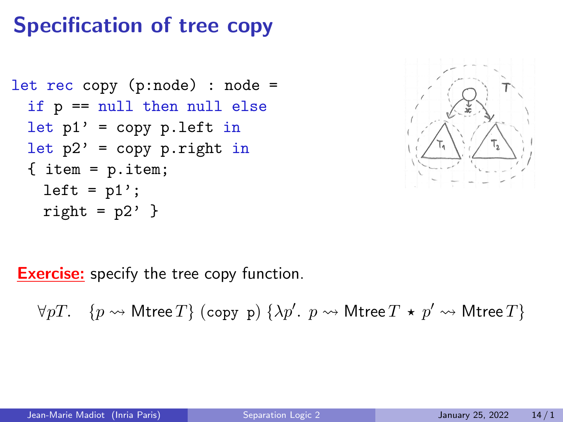# Specification of tree copy

```
let rec copy (p:node) : node =
if p == null then null else
let p1' = copy p.left in
let p2' = copy p.right in
{ item = p.item;
  left = p1';
  right = p2' }
```


**Exercise:** specify the tree copy function.

 $\forall pT. \quad \{p\rightsquigarrow \mathsf{Mtree}\, T\} \text{ (copy p) }\{\lambda p'. \enskip p\rightsquigarrow \mathsf{Mtree}\, T \,\star\, p' \rightsquigarrow \mathsf{Mtree}\, T\}$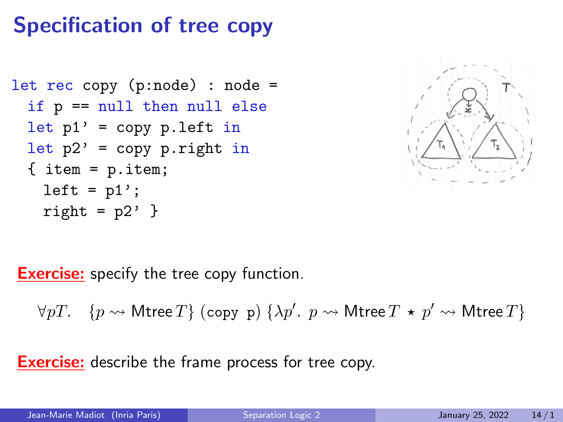# Specification of tree copy

```
let rec copy (p:node) : node =
if p == null then null else
let p1' = copy p.left in
let p2' = copy p.right in
{ item = p.item;
  left = p1';
  right = p2' }
```


**Exercise:** specify the tree copy function.

 $\forall pT. \quad \{p\rightsquigarrow \mathsf{Mtree}\, T\} \text{ (copy p) }\{\lambda p'. \enskip p\rightsquigarrow \mathsf{Mtree}\, T \,\star\, p' \rightsquigarrow \mathsf{Mtree}\, T\}$ 

**Exercise:** describe the frame process for tree copy.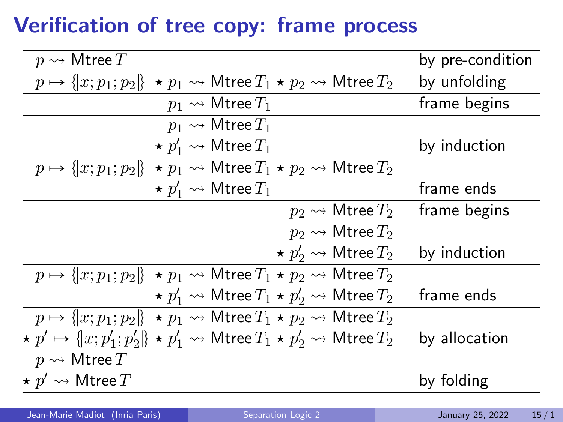# Verification of tree copy: frame process

| $p \rightsquigarrow$ Mtree $T$                                                                                          | by pre-condition |
|-------------------------------------------------------------------------------------------------------------------------|------------------|
| $p \mapsto \{  x; p_1; p_2  \} \star p_1 \rightsquigarrow$ Mtree $T_1 \star p_2 \rightsquigarrow$ Mtree $T_2$           | by unfolding     |
| $p_1 \rightsquigarrow$ Mtree $T_1$                                                                                      | frame begins     |
| $p_1 \rightsquigarrow$ Mtree $T_1$                                                                                      |                  |
| $\star p_1' \rightsquigarrow$ Mtree $T_1$                                                                               | by induction     |
| $p \mapsto \{  x; p_1; p_2  \star p_1 \leadsto \mathsf{Mtree}\, T_1 \star p_2 \leadsto \mathsf{Mtree}\, T_2 \}$         |                  |
| $\star p_1' \rightsquigarrow$ Mtree $T_1$                                                                               | frame ends       |
| $p_2 \rightsquigarrow$ Mtree $T_2$                                                                                      | frame begins     |
| $p_2 \rightsquigarrow$ Mtree $T_2$                                                                                      |                  |
| $\star p'_2 \rightsquigarrow$ Mtree $T_2$                                                                               | by induction     |
| $p \mapsto \{x; p_1; p_2\} \star p_1 \rightsquigarrow$ Mtree $T_1 \star p_2 \rightsquigarrow$ Mtree $T_2$               |                  |
| $\star p'_1 \rightsquigarrow$ Mtree $T_1 \star p'_2 \rightsquigarrow$ Mtree $T_2$                                       | frame ends       |
| $p \mapsto \{  x; p_1; p_2  \star p_1 \leadsto \mathsf{Mtree}\, T_1 \star p_2 \leadsto \mathsf{Mtree}\, T_2 \}$         |                  |
| $\star p' \mapsto \{  x; p_1'; p_2' \} \star p_1' \rightsquigarrow$ Mtree $T_1 \star p_2' \rightsquigarrow$ Mtree $T_2$ | by allocation    |
| $p \rightsquigarrow \mathsf{Mtree}\, T$                                                                                 |                  |
| $\star~p' \leadsto \mathsf{M}$ tree $T$                                                                                 | by folding       |
|                                                                                                                         |                  |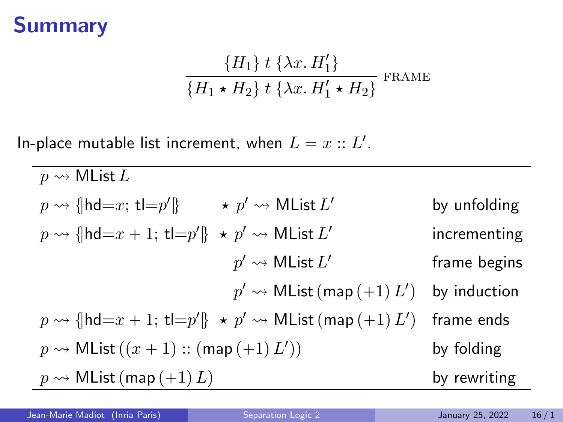### Summary

$$
\frac{\{H_1\} \ t \ \{\lambda x. H_1'\}}{\{H_1 \star H_2\} \ t \ \{\lambda x. H_1' \star H_2\}} \ \text{frame}
$$

In-place mutable list increment, when  $L = x :: L'.$ 

 $p \rightsquigarrow$  MList L  $p \rightsquigarrow \{\mathsf{hd}{=}x;\, \mathsf{tl}{=}p'\} \qquad \star \ p' \rightsquigarrow \mathsf{MList}\, L$ by unfolding  $p \rightsquigarrow \{\mathsf{hd}{=}x+1; \, \mathsf{tl}{=}p'\} \; \star \; p' \rightsquigarrow \mathsf{MList}\, L'$ incrementing  $p' \leadsto \mathsf{MList}\,L'$ frame begins  $p' \leadsto \mathsf{MList}\left(\mathsf{map}\left(+1\right)L'\right)$ by induction  $p \rightsquigarrow \{\vert \mathsf{hd}{=}x+1; \, \mathsf{tl}{=}p'\}\; \star \; p' \rightsquigarrow \mathsf{MList}\left(\mathsf{map}\left(+1\right)L'\right)$ frame ends  $p \rightsquigarrow \mathsf{MList}\left( (x+1) :: \mathsf{(map}\, (+1)\, L'\right)$ by folding  $p \rightsquigarrow$  MList  $(\text{map}(+1)L)$  by rewriting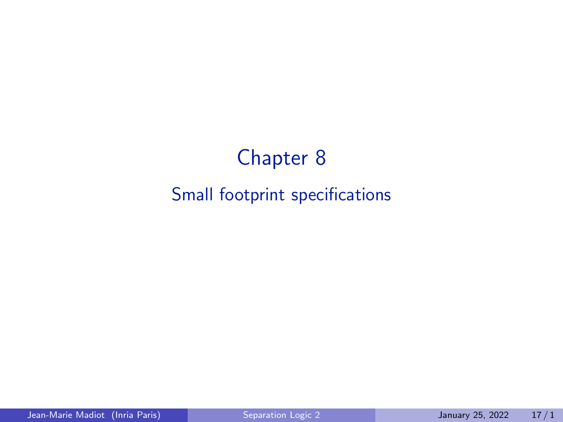# Chapter 8 Small footprint specifications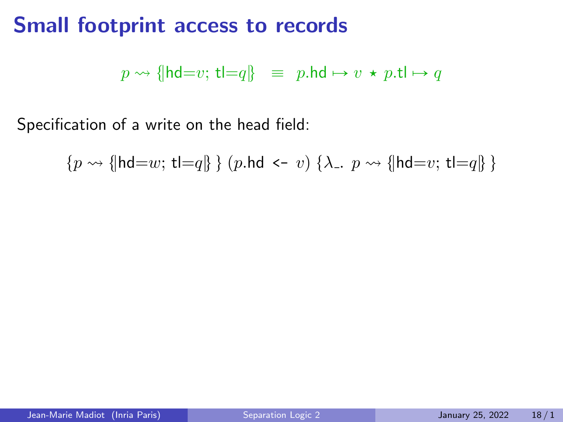### Small footprint access to records

 $p \rightsquigarrow$  {|hd=v; t|=q|} = p.hd  $\mapsto v \star p$ .t|  $\mapsto q$ 

Specification of a write on the head field:

 $\{p \leadsto \{\mathsf{hd}=w; \mathsf{t}=\mathsf{q}\}\}\$  (p.hd <- v)  $\{\lambda_-, p \leadsto \{\mathsf{hd}=v; \mathsf{t}=\mathsf{q}\}\}\$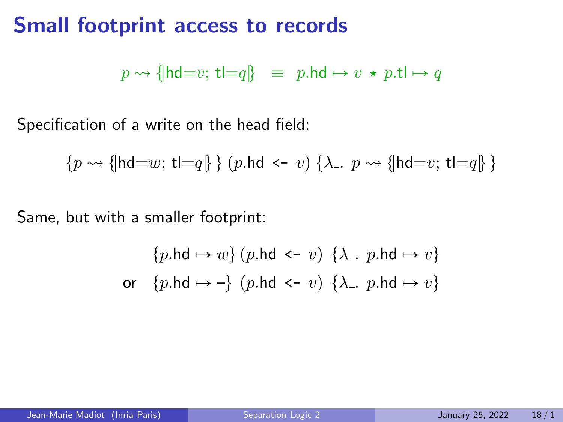### Small footprint access to records

 $p \rightsquigarrow$  {|hd=v; tl=q} = p.hd  $\mapsto v \star p$ .tl  $\mapsto q$ 

Specification of a write on the head field:

$$
\{p \leadsto \{\mathsf{hd}{=}w; \, \mathsf{tl}{=}q\}\ \} \ (p.\mathsf{hd} \ \texttt{<}\texttt{-} \ v) \ \{\lambda_-\texttt{.} \ p \leadsto \{\mathsf{hd}{=}v; \, \mathsf{tl}{=}q\}\ \}
$$

Same, but with a smaller footprint:

$$
\{p.\mathsf{hd} \mapsto w\} \ (p.\mathsf{hd} \ \texttt{<-}\ v) \ \ \{\lambda_-, \ p.\mathsf{hd} \mapsto v\}
$$
\n
$$
\text{or} \quad \{p.\mathsf{hd} \mapsto -\} \ (p.\mathsf{hd} \ \texttt{<-}\ v) \ \ \{\lambda_-, \ p.\mathsf{hd} \mapsto v\}
$$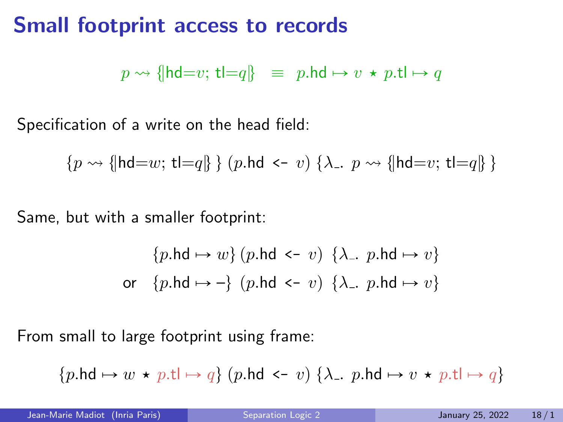### Small footprint access to records

 $p \rightsquigarrow$  {|hd=v; t|=q|} = p.hd  $\mapsto v \star p$ .t|  $\mapsto q$ 

Specification of a write on the head field:

$$
\{p \leadsto \{\mathsf{hd}{=}w; \, \mathsf{tl}{=}q\}\ \} \ (p.\mathsf{hd} \ \texttt{<}\texttt{-} \ v) \ \{\lambda_-\texttt{.} \ p \leadsto \{\mathsf{hd}{=}v; \, \mathsf{tl}{=}q\}\ \}
$$

Same, but with a smaller footprint:

$$
\{p.\mathsf{hd} \mapsto w\} \ (p.\mathsf{hd} \ \texttt{<} \ v) \ \ \{\lambda_-, \ p.\mathsf{hd} \mapsto v\}
$$
\n
$$
\text{or} \quad \{p.\mathsf{hd} \mapsto -\} \ (p.\mathsf{hd} \ \texttt{<} \ v) \ \ \{\lambda_-, \ p.\mathsf{hd} \mapsto v\}
$$

From small to large footprint using frame:

$$
\{p.\mathsf{hd} \mapsto w \, \star \, p.\mathsf{tl} \mapsto q\} \; \text{($p.\mathsf{hd} \, \texttt{<}\,$}\, v) \;\{\lambda_-, \, p.\mathsf{hd} \mapsto v \, \star \, p.\mathsf{tl} \mapsto q\}
$$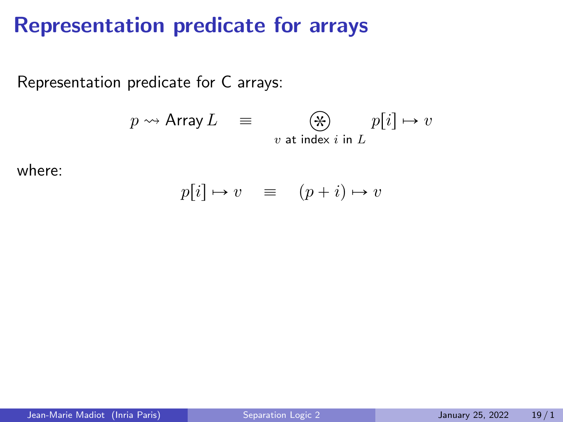### Representation predicate for arrays

Representation predicate for C arrays:

$$
p \rightsquigarrow \text{Array } L \quad \equiv \quad \bigotimes_{v \text{ at index } i \text{ in } L} p[i] \mapsto v
$$

where:

$$
p[i] \mapsto v \quad \equiv \quad (p+i) \mapsto v
$$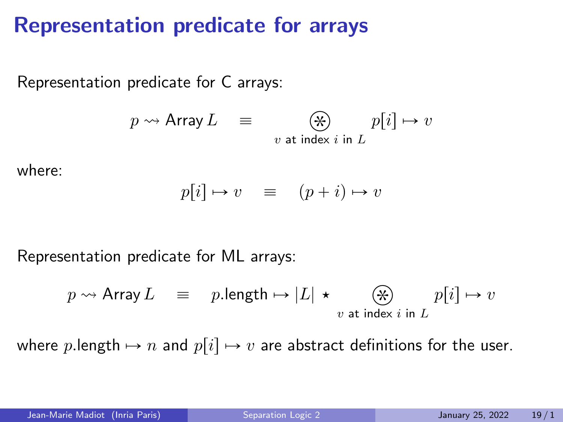### Representation predicate for arrays

Representation predicate for C arrays:

$$
p \rightsquigarrow \text{Array } L \quad \equiv \quad \bigotimes_{v \text{ at index } i \text{ in } L} p[i] \mapsto v
$$

where:

$$
p[i] \mapsto v \quad \equiv \quad (p+i) \mapsto v
$$

Representation predicate for ML arrays:

$$
p \rightsquigarrow
$$
 Array  $L \equiv p$ .length  $\mapsto |L| \star \underset{v \text{ at index } i \text{ in } L}{\circledast} p[i] \mapsto v$ 

where plength  $\mapsto n$  and  $p[i] \mapsto v$  are abstract definitions for the user.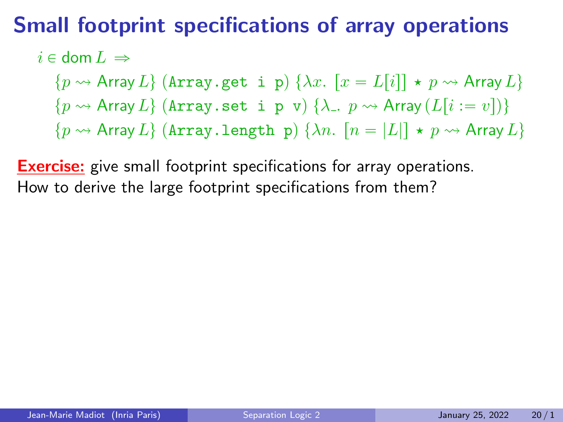### Small footprint specifications of array operations

 $i \in$  dom  $L \Rightarrow$ 

 $\{p \leadsto$  Array  $L\}$  (Array.get i p)  $\{\lambda x. |x = L[i]| \star p \leadsto$  Array  $L\}$  $\{p \leadsto$  Array  $L\}$  (Array.set i p v)  $\{\lambda_-, p \leadsto$  Array  $(L[i := v])\}$ 

 $\{p \leadsto$  Array  $L\}$  (Array.length p)  $\{\lambda n.$   $[n = |L|] \star p \leadsto$  Array  $L\}$ 

**Exercise:** give small footprint specifications for array operations. How to derive the large footprint specifications from them?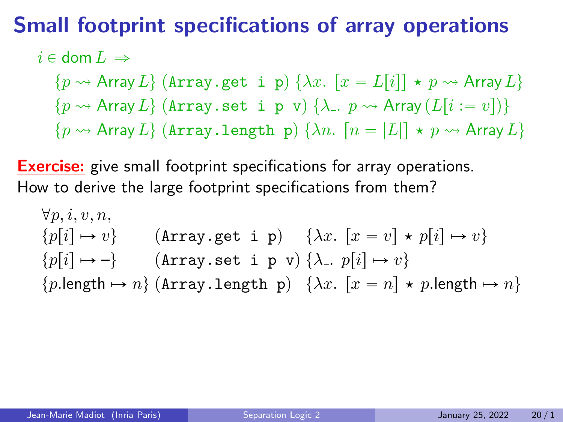### Small footprint specifications of array operations

$$
i\in\mathsf{dom}\,L\,\Rightarrow
$$

 $\{p \leadsto$  Array  $L\}$  (Array.get i p)  $\{\lambda x. |x = L[i]| \star p \leadsto$  Array  $L\}$  $\{p \leadsto$  Array  $L\}$  (Array set i p v)  $\{\lambda_-, p \leadsto$  Array  $(L[i := v])\}$  $\{p \leadsto$  Array  $L\}$  (Array.length p)  $\{\lambda n.$   $[n = |L|] \star p \leadsto$  Array  $L\}$ 

**Exercise:** give small footprint specifications for array operations. How to derive the large footprint specifications from them?

$$
\forall p, i, v, n,
$$
  
\n
$$
\{p[i] \mapsto v\}
$$
 (Array.get i p)  $\{\lambda x. [x = v] \star p[i] \mapsto v\}$   
\n
$$
\{p[i] \mapsto -\}
$$
 (Array.set i p v)  $\{\lambda_-, p[i] \mapsto v\}$   
\n
$$
\{p.length \mapsto n\}
$$
 (Array.length p)  $\{\lambda x. [x = n] \star p.length \mapsto n\}$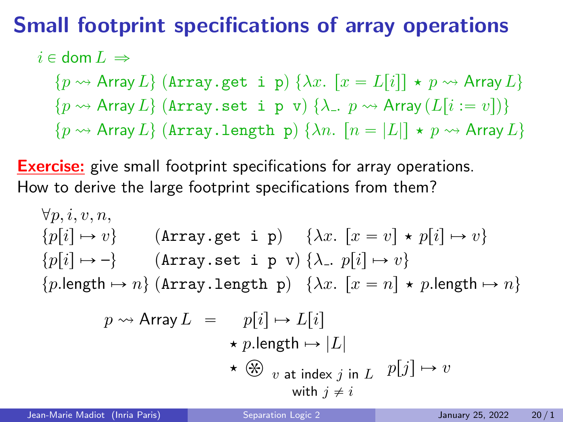### Small footprint specifications of array operations

$$
i\in\operatorname{dom} L\,\Rightarrow
$$

 $\{p \leadsto$  Array  $L\}$  (Array.get i p)  $\{\lambda x. |x = L[i]| \star p \leadsto$  Array  $L\}$  $\{p \leadsto$  Array  $L\}$  (Array set i p v)  $\{\lambda_-, p \leadsto$  Array  $(L[i := v])\}$  $\{p \leadsto$  Array  $L\}$  (Array.length p)  $\{\lambda n.$   $[n = |L|] \star p \leadsto$  Array  $L\}$ 

**Exercise:** give small footprint specifications for array operations. How to derive the large footprint specifications from them?

$$
\forall p, i, v, n,
$$
\n
$$
\{p[i] \mapsto v\}
$$
\n
$$
\{p[i] \mapsto v\}
$$
\n
$$
\{p[i] \mapsto v\}
$$
\n
$$
\{p[i] \mapsto -\}
$$
\n
$$
\{p[i] \mapsto n\}
$$
\n
$$
\{p.\text{length} \mapsto n\}
$$
\n
$$
\{p.\text{length} \mapsto n\}
$$
\n
$$
\{p \mapsto n\}
$$
\n
$$
\{p \mapsto n\}
$$
\n
$$
\{p \mapsto p[i] \mapsto v\}
$$
\n
$$
\{p \mapsto n\}
$$
\n
$$
\{p \mapsto p[i] \mapsto L[i]
$$
\n
$$
\{p \mapsto p[i] \mapsto p[i] \mapsto n\}
$$
\n
$$
\{p \mapsto p[i] \mapsto L[i]
$$
\n
$$
\{p \mapsto p[i] \mapsto u\}
$$
\n
$$
\{p \mapsto p[i] \mapsto u\}
$$
\n
$$
\{p \mapsto p[i] \mapsto v\}
$$
\n
$$
\{p \mapsto p[i] \mapsto v\}
$$
\n
$$
\{p \mapsto p[i] \mapsto v\}
$$
\n
$$
\{p \mapsto p[i] \mapsto v\}
$$
\n
$$
\{p \mapsto p[i] \mapsto v\}
$$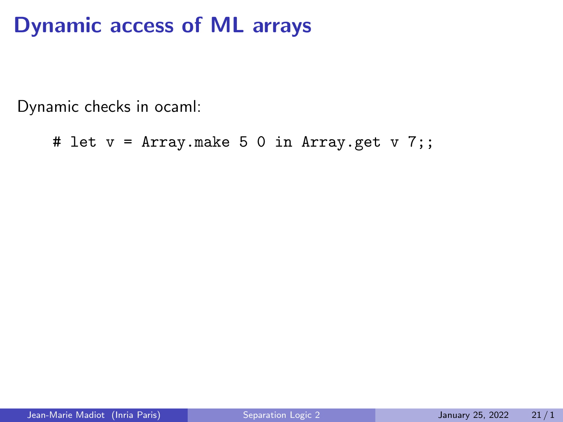### Dynamic access of ML arrays

Dynamic checks in ocaml:

```
# let v = Array.make 5 0 in Array.get v 7;;
```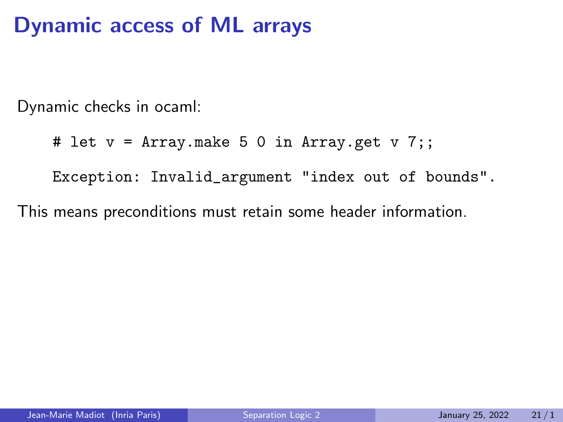### Dynamic access of ML arrays

Dynamic checks in ocaml:

```
# let v = Array.make 5 0 in Array.get v 7;;
```
Exception: Invalid\_argument "index out of bounds".

This means preconditions must retain some header information.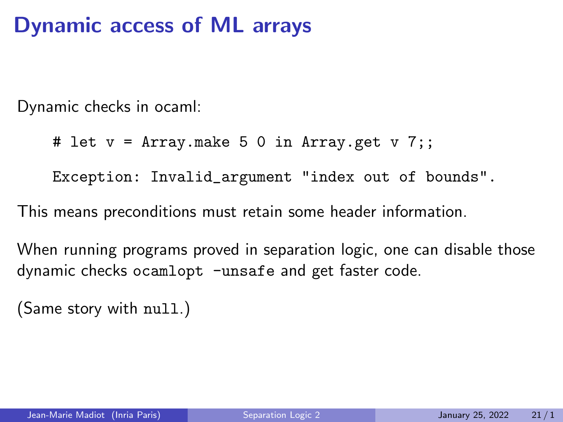### Dynamic access of ML arrays

Dynamic checks in ocaml:

```
# let v = Array.make 5 0 in Array.get v 7;;
```
Exception: Invalid\_argument "index out of bounds".

This means preconditions must retain some header information.

When running programs proved in separation logic, one can disable those dynamic checks ocamlopt -unsafe and get faster code.

(Same story with null.)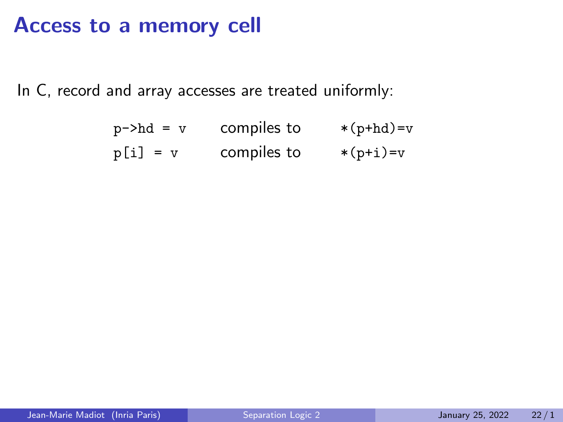### Access to a memory cell

In C, record and array accesses are treated uniformly:

| $p$ ->hd = v | compiles to | $*(p+hd)=v$ |
|--------------|-------------|-------------|
| $p[i] = v$   | compiles to | $*(p+i)=v$  |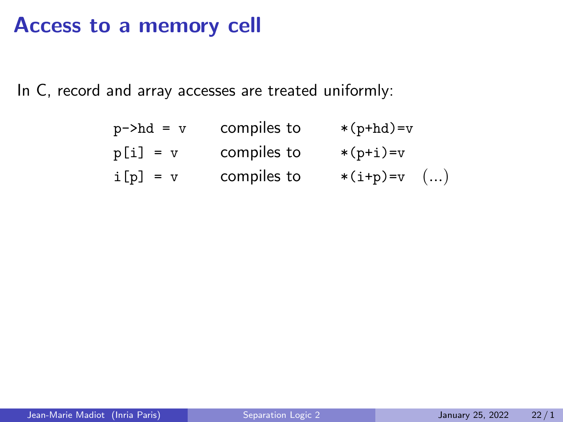### Access to a memory cell

In C, record and array accesses are treated uniformly:

| $p$ ->hd = $v$ | compiles to | $*(p+hd)=v$   |
|----------------|-------------|---------------|
| $p[i] = v$     | compiles to | $*(p+i)=v$    |
| $i[p] = v$     | compiles to | $*(i+p)=v$ () |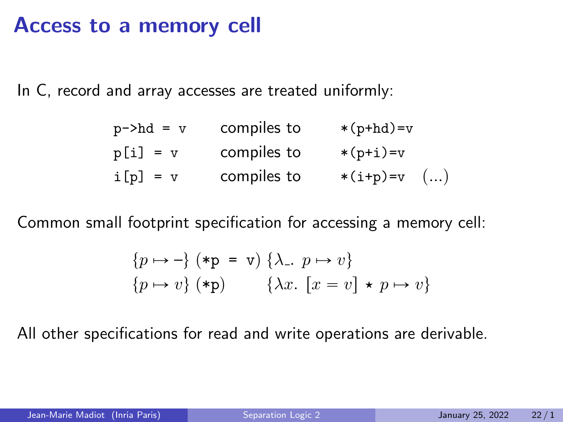#### Access to a memory cell

In C, record and array accesses are treated uniformly:

| $p$ ->hd = $v$ | compiles to | $*(p+hd)=v$   |  |
|----------------|-------------|---------------|--|
| $p[i] = v$     | compiles to | $*(p+i)=v$    |  |
| $i[p] = v$     | compiles to | $*(i+p)=v$ () |  |

Common small footprint specification for accessing a memory cell:

$$
\{p \mapsto -\} \; (*\mathbf{p} = \mathbf{v}) \; \{\lambda_-, \ p \mapsto v\} \n\{p \mapsto v\} \; (*\mathbf{p}) \qquad \{\lambda x. \; [x = v] \star p \mapsto v\}
$$

All other specifications for read and write operations are derivable.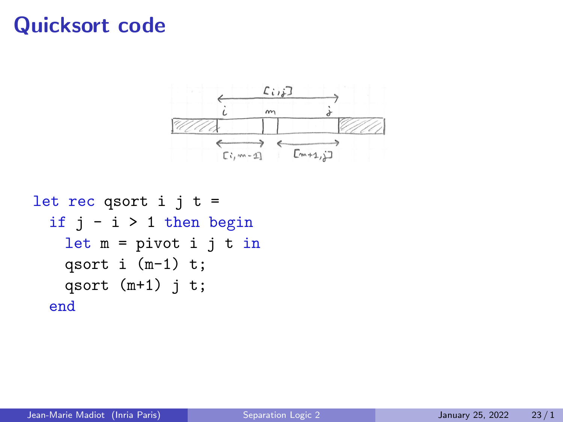#### Quicksort code



```
let rec qsort i j t =
 if j - i > 1 then begin
  let m = pivot i j t in
  qsort i (m-1) t;
  qsort (m+1) j t;
end
```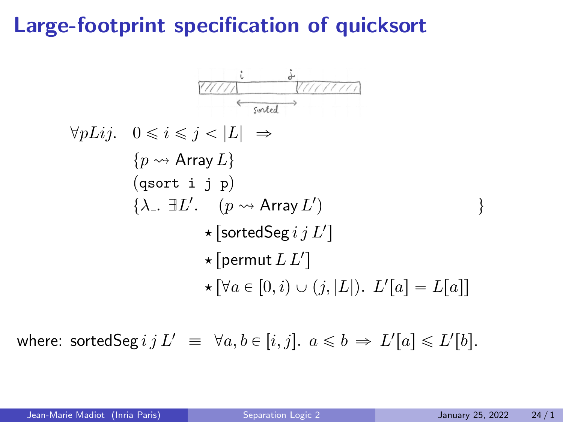# Large-footprint specification of quicksort

$$
\forall pLij. \quad 0 \leq i \leq j < |L| \Rightarrow
$$
\n
$$
\{p \leadsto \text{Array } L\}
$$
\n
$$
\{q \text{sort } i \quad j \quad p\}
$$
\n
$$
\{\lambda_-. \quad \exists L'. \quad (p \leadsto \text{Array } L') \quad \} \Rightarrow
$$
\n
$$
\star [\text{sortedSeg } i \quad j \quad L'] \quad \} \Rightarrow
$$
\n
$$
\star [\text{pertedSeg } i \quad j \quad L'] \quad \star [\text{permut } L \quad L'] \quad \star [\forall a \in [0, i) \cup (j, |L|). \quad L'[a] = L[a]]
$$

where: sortedSeg  $i \, j \, L' \equiv \forall a,b \in [i,j].$   $a \leqslant b \Rightarrow L'[a] \leqslant L'[b].$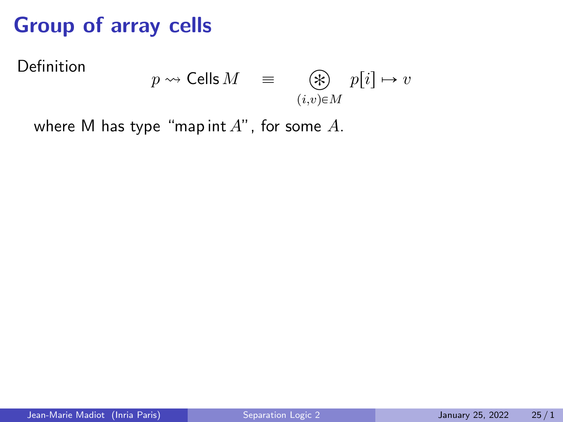# Group of array cells

Definition

$$
p \rightsquigarrow \mathsf{Cells}\, M \quad \equiv \quad \bigotimes_{(i,v)\in M} p[i] \mapsto v
$$

where M has type "map int  $A$ ", for some  $A$ .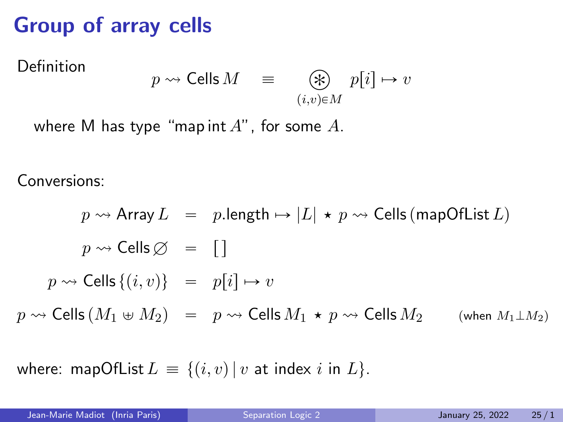# Group of array cells

Definition

$$
p \rightsquigarrow \mathsf{Cells}\, M \quad \equiv \quad \bigotimes_{(i,v)\in M} p[i] \mapsto v
$$

where M has type "map int  $A$ ", for some  $A$ .

Conversions:

$$
p \rightsquigarrow \text{Array } L = p.length \mapsto |L| \star p \rightsquigarrow \text{Cells (mapOfList } L)
$$
\n
$$
p \rightsquigarrow \text{Cells } \emptyset = []
$$
\n
$$
p \rightsquigarrow \text{Cells } \{(i, v)\} = p[i] \mapsto v
$$
\n
$$
p \rightsquigarrow \text{Cells } (M_1 \uplus M_2) = p \rightsquigarrow \text{Cells } M_1 \star p \rightsquigarrow \text{Cells } M_2 \qquad \text{(when } M_1 \perp M_2 \text{)}
$$

where: mapOfList  $L = \{(i, v) | v$  at index *i* in  $L\}$ .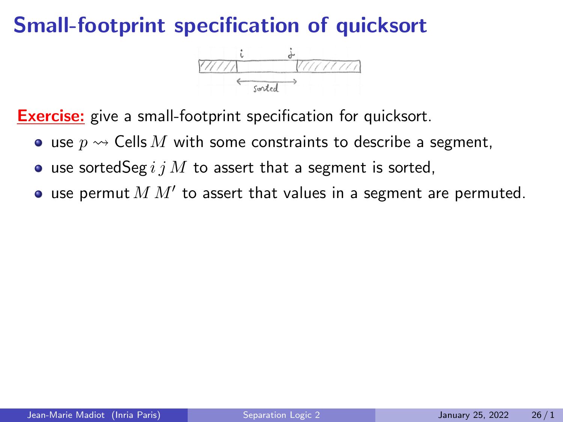## Small-footprint specification of quicksort



**Exercise:** give a small-footprint specification for quicksort.

- use  $p \rightarrow$  Cells M with some constraints to describe a segment,
- use sorted Seg  $i j M$  to assert that a segment is sorted,
- use permut  $M$   $M'$  to assert that values in a segment are permuted.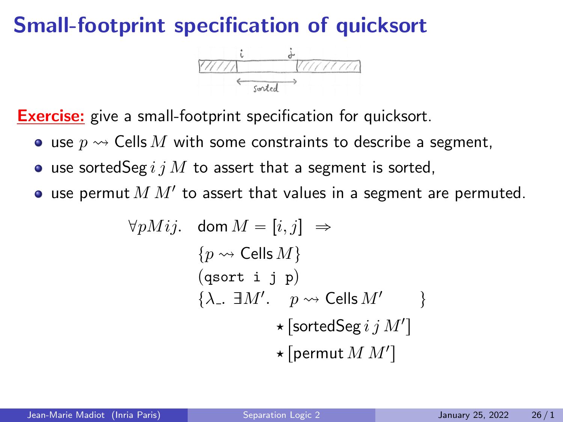# Small-footprint specification of quicksort



**Exercise:** give a small-footprint specification for quicksort.

- use  $p \rightarrow$  Cells M with some constraints to describe a segment,
- use sorted Seg  $i j M$  to assert that a segment is sorted,
- use permut  $M$   $M'$  to assert that values in a segment are permuted.

$$
\forall pMij. \quad \text{dom } M = [i, j] \Rightarrow
$$
\n
$$
\{p \leadsto \text{Cells } M\}
$$
\n
$$
(\text{qsort i } j p)
$$
\n
$$
\{\lambda_{-}. \ \exists M'. \quad p \leadsto \text{Cells } M' \}
$$
\n
$$
\star [\text{sortedSeg } i j M']
$$
\n
$$
\star [\text{permut } M M']
$$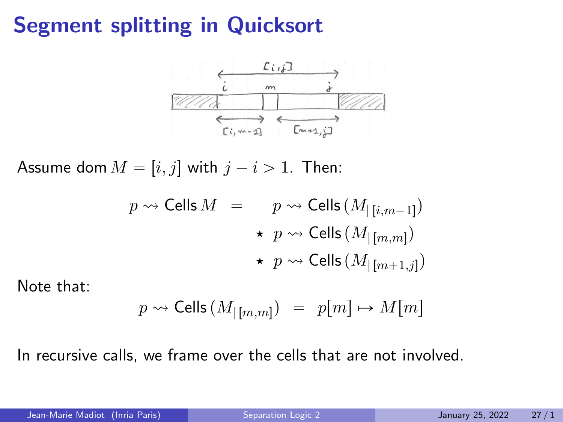# Segment splitting in Quicksort



Assume dom  $M = [i, j]$  with  $j - i > 1$ . Then:

$$
p \rightsquigarrow \text{Cells } M = p \rightsquigarrow \text{Cells } (M_{\lfloor i,m-1 \rfloor})
$$

$$
\star p \rightsquigarrow \text{Cells } (M_{\lfloor [m,m]})
$$

$$
\star p \rightsquigarrow \text{Cells } (M_{\lfloor [m+1,j]})
$$

Note that:

$$
p \leadsto \mathsf{Cells}\left(M_{|\,[m,m]}\right) ~=~ p[m] \mapsto M[m]
$$

In recursive calls, we frame over the cells that are not involved.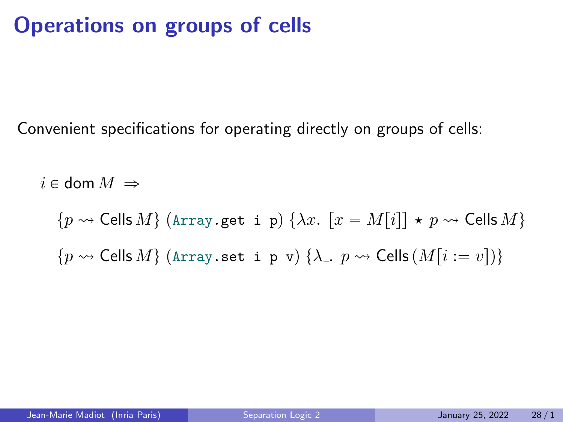# Operations on groups of cells

Convenient specifications for operating directly on groups of cells:

 $i \in$  dom  $M \Rightarrow$ 

 $\{p \leadsto$  Cells  $M\}$  (Array.get i p)  $\{\lambda x. [x = M[i]] \star p \leadsto$  Cells  $M\}$  $\{p \leadsto$  Cells  $M\}$  (Array.set i p v)  $\{\lambda_-, p \leadsto$  Cells  $(M[i := v])\}$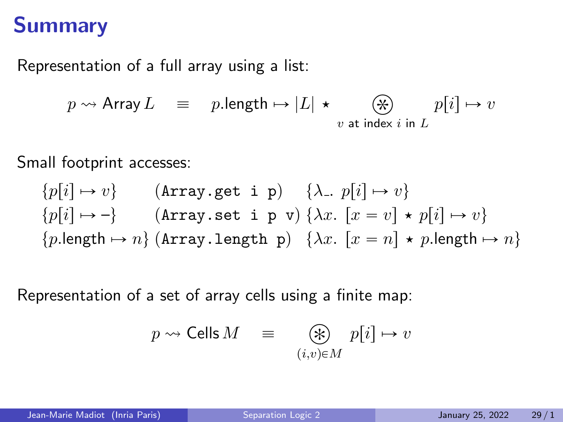#### Summary

Representation of a full array using a list:

$$
p \rightsquigarrow
$$
 Array  $L \equiv p$ .length  $\mapsto |L| \star \underset{v \text{ at index } i \text{ in } L}{\bigotimes} p[i] \mapsto v$ 

Small footprint accesses:

$$
{p[i] \mapsto v} \qquad \text{(Array.get i p)} \qquad {\lambda_-, p[i] \mapsto v} \qquad \{p[i] \mapsto -\} \qquad \text{(Array.set i p v)} \quad \{ \lambda x. [x = v] \star p[i] \mapsto v \} \qquad \{p.length \mapsto n\} \text{ (Array.length p)} \quad \{ \lambda x. [x = n] \star p.length \mapsto n \}
$$

Representation of a set of array cells using a finite map:

$$
p \rightsquigarrow \mathsf{Cells}\, M \quad \equiv \quad \bigotimes_{(i,v)\in M} p[i] \mapsto v
$$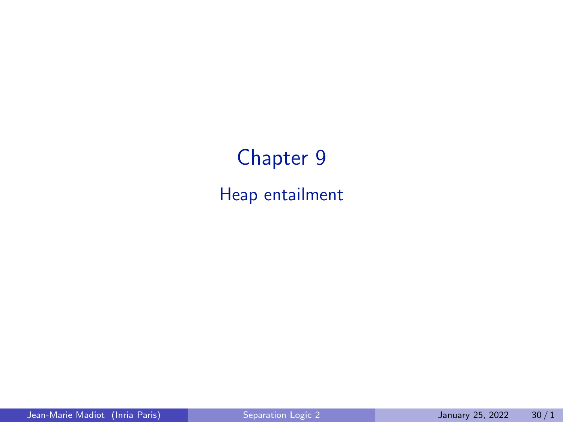# Chapter 9 Heap entailment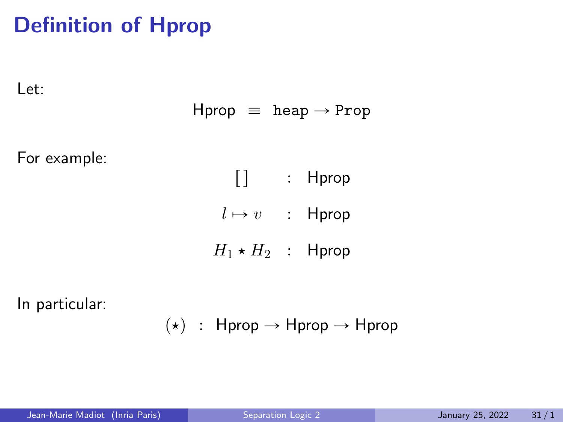# Definition of Hprop

Let:

$$
\text{Hprop} \;\; \equiv \;\; \text{heap} \rightarrow \text{Prop}
$$

For example:

 $\begin{bmatrix} \end{bmatrix}$  : Hprop  $l \mapsto v$  : Hprop

 $H_1 \star H_2$  : Hprop

In particular:

 $(\star)$  : Hprop  $\rightarrow$  Hprop  $\rightarrow$  Hprop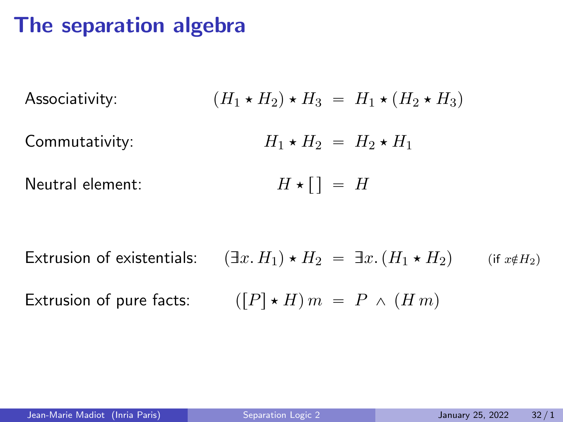#### The separation algebra

Associativity:  $(H_1 \star H_2) \star H_3 = H_1 \star (H_2 \star H_3)$ Commutativity:  $H_1 \star H_2 = H_2 \star H_1$ Neutral element:  $H \star [ ] = H$ 

Extrusion of existentials:  $(\exists x. H_1) \star H_2 = \exists x. (H_1 \star H_2)$  (if  $x \notin H_2$ ) Extrusion of pure facts:  $([P] \star H) m = P \wedge (H m)$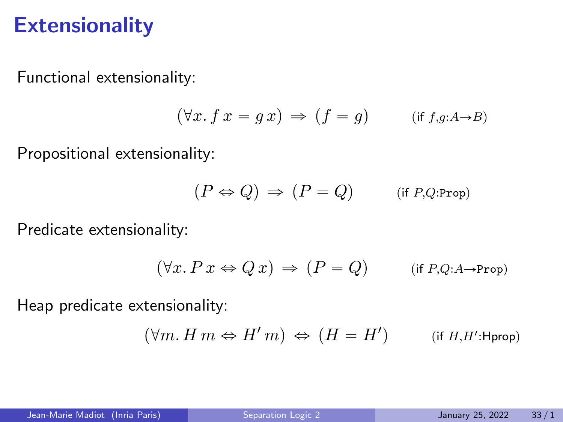#### **Extensionality**

Functional extensionality:

$$
(\forall x.\, f\, x = g\, x) \, \Rightarrow \, (f = g) \qquad \text{(if $f,g:A \to B$)}
$$

Propositional extensionality:

$$
(P \Leftrightarrow Q) \, \Rightarrow \, (P = Q) \qquad \quad \text{(if } P, Q \text{:Prop)}
$$

Predicate extensionality:

$$
(\forall x. P \, x \Leftrightarrow Q \, x) \Rightarrow (P = Q) \qquad \text{(if } P, Q: A \to \text{Prop})
$$

Heap predicate extensionality:

$$
(\forall m.\,H\,m \Leftrightarrow H'\,m) \,\Leftrightarrow\,(H=H') \qquad \quad \text{(if $H,H'$:Hprop)}
$$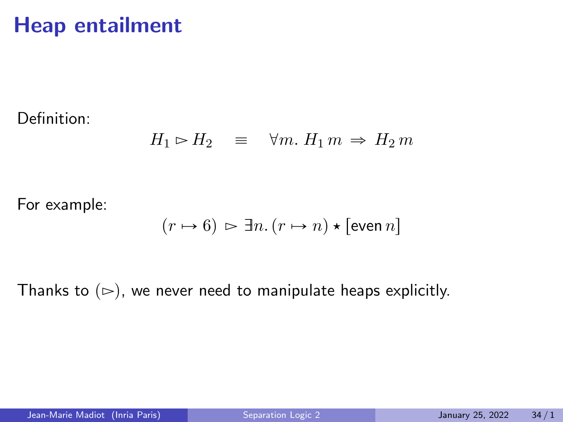#### Heap entailment

Definition:

$$
H_1 \rhd H_2 \quad \equiv \quad \forall m. \ H_1 m \Rightarrow H_2 m
$$

For example:

$$
(r \mapsto 6) \vartriangleright \exists n. (r \mapsto n) \star [\text{even } n]
$$

Thanks to  $(\triangleright)$ , we never need to manipulate heaps explicitly.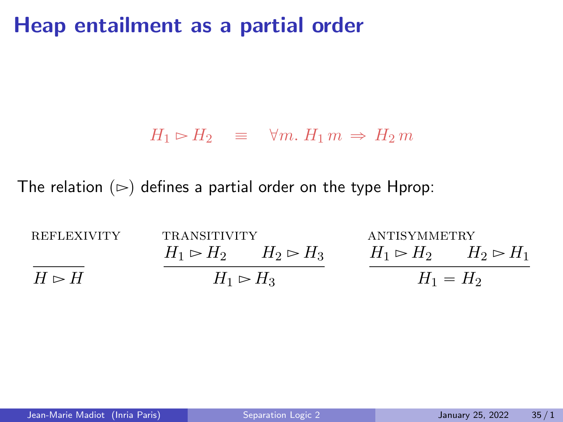#### Heap entailment as a partial order

#### $H_1 \rhd H_2 \equiv \forall m. H_1 m \Rightarrow H_2 m$

The relation  $(\triangleright)$  defines a partial order on the type Hprop:

| <b>REFLEXIVITY</b> | <b>TRANSITIVITY</b>           |  | ANTISYMMETRY                                      |  |
|--------------------|-------------------------------|--|---------------------------------------------------|--|
|                    | $H_1 \rhd H_2$ $H_2 \rhd H_3$ |  | $H_1 \triangleright H_2$ $H_2 \triangleright H_1$ |  |
| $H \rhd H$         | $H_1 \rhd H_3$                |  | $H_1 = H_2$                                       |  |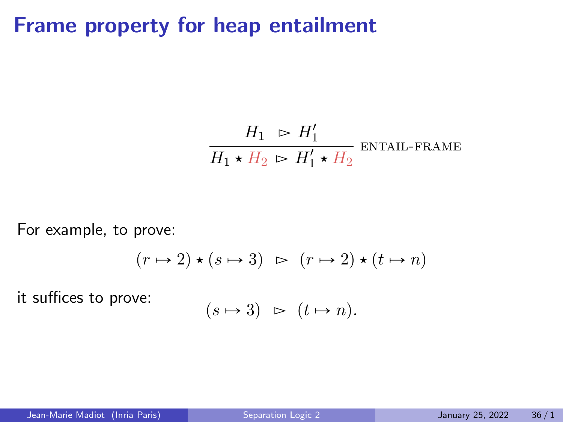#### Frame property for heap entailment

$$
\frac{H_1 \supset H_1'}{H_1 \star H_2 \supset H_1' \star H_2}
$$
ENTAIL-FRAME

For example, to prove:

$$
(r \mapsto 2) \star (s \mapsto 3) \;\; \rhd \;\; (r \mapsto 2) \star (t \mapsto n)
$$

it suffices to prove:

$$
(s \mapsto 3) \; \succ \; (t \mapsto n).
$$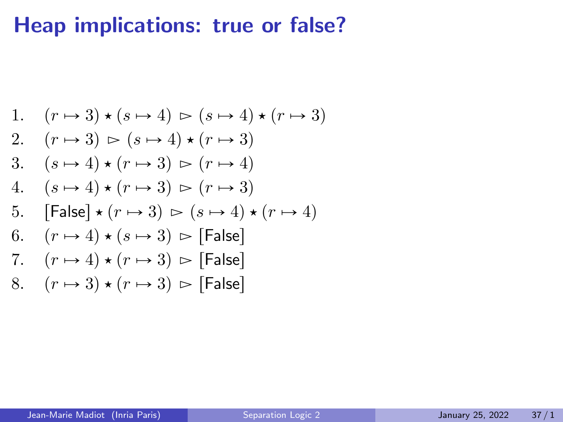1. 
$$
(r \mapsto 3) \star (s \mapsto 4) \succ (s \mapsto 4) \star (r \mapsto 3)
$$
  
\n2.  $(r \mapsto 3) \succ (s \mapsto 4) \star (r \mapsto 3)$   
\n3.  $(s \mapsto 4) \star (r \mapsto 3) \succ (r \mapsto 4)$   
\n4.  $(s \mapsto 4) \star (r \mapsto 3) \succ (r \mapsto 3)$   
\n5. [False]  $\star (r \mapsto 3) \succ (s \mapsto 4) \star (r \mapsto 4)$   
\n6.  $(r \mapsto 4) \star (s \mapsto 3) \succ \text{[False]}$   
\n7.  $(r \mapsto 4) \star (r \mapsto 3) \succ \text{[False]}$   
\n8.  $(r \mapsto 3) \star (r \mapsto 3) \succ \text{[False]}$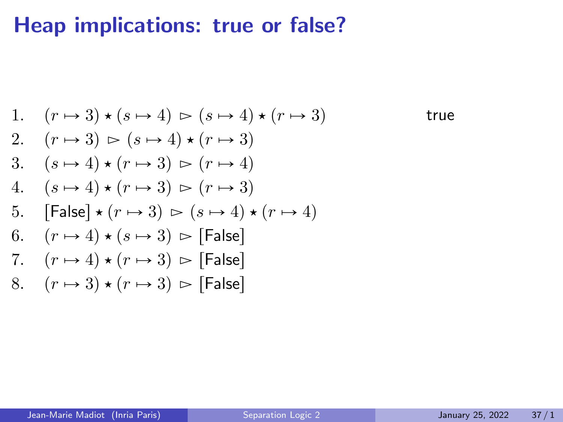1. 
$$
(r \mapsto 3) \star (s \mapsto 4) \succ (s \mapsto 4) \star (r \mapsto 3)
$$
  
\n2.  $(r \mapsto 3) \succ (s \mapsto 4) \star (r \mapsto 3)$   
\n3.  $(s \mapsto 4) \star (r \mapsto 3) \succ (r \mapsto 4)$   
\n4.  $(s \mapsto 4) \star (r \mapsto 3) \succ (r \mapsto 3)$   
\n5. [False]  $\star (r \mapsto 3) \succ (s \mapsto 4) \star (r \mapsto 4)$   
\n6.  $(r \mapsto 4) \star (s \mapsto 3) \succ$  [False]  
\n7.  $(r \mapsto 4) \star (r \mapsto 3) \succ$  [False]  
\n8.  $(r \mapsto 3) \star (r \mapsto 3) \succ$  [False]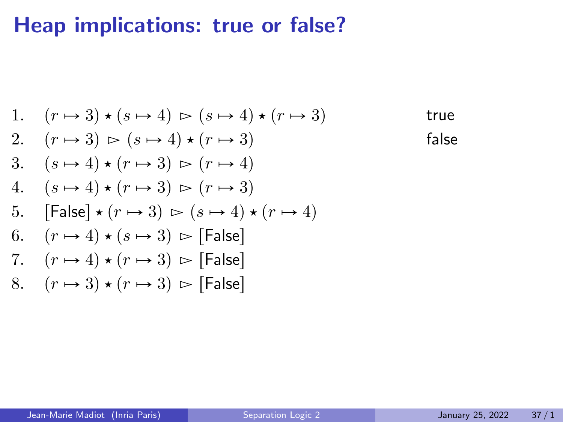1. 
$$
(r \rightarrow 3) \star (s \rightarrow 4) \succ (s \rightarrow 4) \star (r \rightarrow 3)
$$
 true  
\n2.  $(r \rightarrow 3) \succ (s \rightarrow 4) \star (r \rightarrow 3)$  false  
\n3.  $(s \rightarrow 4) \star (r \rightarrow 3) \succ (r \rightarrow 4)$   
\n4.  $(s \rightarrow 4) \star (r \rightarrow 3) \succ (r \rightarrow 3)$   
\n5. [False]  $\star (r \rightarrow 3) \succ (s \rightarrow 4) \star (r \rightarrow 4)$   
\n6.  $(r \rightarrow 4) \star (s \rightarrow 3) \succ$  [False]  
\n7.  $(r \rightarrow 4) \star (r \rightarrow 3) \succ$  [False]  
\n8.  $(r \rightarrow 3) \star (r \rightarrow 3) \succ$  [False]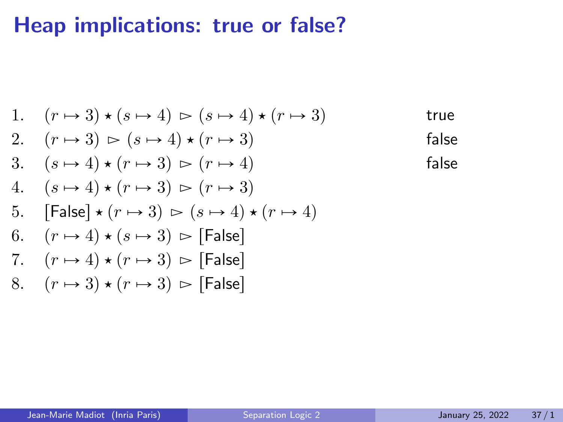1. 
$$
(r \rightarrow 3) \star (s \rightarrow 4) \rightharpoonup (s \rightarrow 4) \star (r \rightarrow 3)
$$
 true  
\n2.  $(r \rightarrow 3) \rightharpoonup (s \rightarrow 4) \star (r \rightarrow 3)$  false  
\n3.  $(s \rightarrow 4) \star (r \rightarrow 3) \rightharpoonup (r \rightarrow 4)$  false  
\n4.  $(s \rightarrow 4) \star (r \rightarrow 3) \rightharpoonup (r \rightarrow 3)$   
\n5. [False]  $\star (r \rightarrow 3) \rightharpoonup (s \rightarrow 4) \star (r \rightarrow 4)$   
\n6.  $(r \rightarrow 4) \star (s \rightarrow 3) \rightharpoonup$  [False]  
\n7.  $(r \rightarrow 4) \star (r \rightarrow 3) \rightharpoonup$  [False]  
\n8.  $(r \rightarrow 3) \star (r \rightarrow 3) \rightharpoonup$  [False]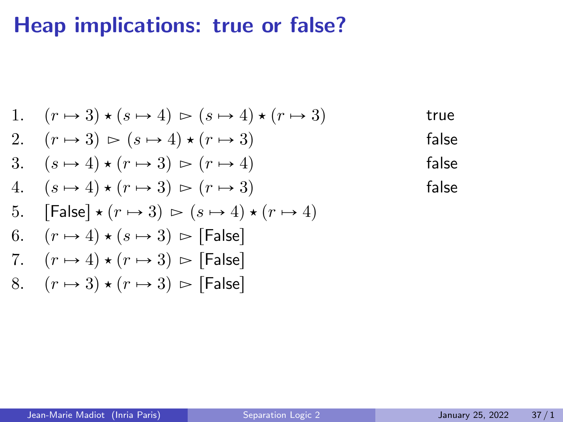1. 
$$
(r \rightarrow 3) \star (s \rightarrow 4) \rightharpoonup (s \rightarrow 4) \star (r \rightarrow 3)
$$
 true  
\n2.  $(r \rightarrow 3) \rightharpoonup (s \rightarrow 4) \star (r \rightarrow 3)$  false  
\n3.  $(s \rightarrow 4) \star (r \rightarrow 3) \rightharpoonup (r \rightarrow 4)$  false false  
\n4.  $(s \rightarrow 4) \star (r \rightarrow 3) \rightharpoonup (r \rightarrow 3)$  false false  
\n5. [False]  $\star (r \rightarrow 3) \rightharpoonup (s \rightarrow 4) \star (r \rightarrow 4)$   
\n6.  $(r \rightarrow 4) \star (s \rightarrow 3) \rightharpoonup$  [False]  
\n7.  $(r \rightarrow 4) \star (r \rightarrow 3) \rightharpoonup$  [False]  
\n8.  $(r \rightarrow 3) \star (r \rightarrow 3) \rightharpoonup$  [False]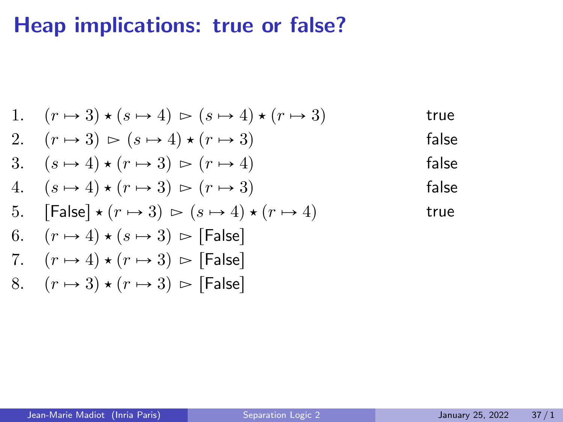1. 
$$
(r \rightarrow 3) \star (s \rightarrow 4) \rightharpoonup (s \rightarrow 4) \star (r \rightarrow 3)
$$
 true  
\n2.  $(r \rightarrow 3) \rightharpoonup (s \rightarrow 4) \star (r \rightarrow 3)$  false  
\n3.  $(s \rightarrow 4) \star (r \rightarrow 3) \rightharpoonup (r \rightarrow 4)$  false  
\n4.  $(s \rightarrow 4) \star (r \rightarrow 3) \rightharpoonup (r \rightarrow 3)$  false false  
\n5. [False]  $\star (r \rightarrow 3) \rightharpoonup (s \rightarrow 4) \star (r \rightarrow 4)$  true  
\n6.  $(r \rightarrow 4) \star (s \rightarrow 3) \rightharpoonup [False]$   
\n7.  $(r \rightarrow 4) \star (r \rightarrow 3) \rightharpoonup [False]$   
\n8.  $(r \rightarrow 3) \star (r \rightarrow 3) \rightharpoonup [False]$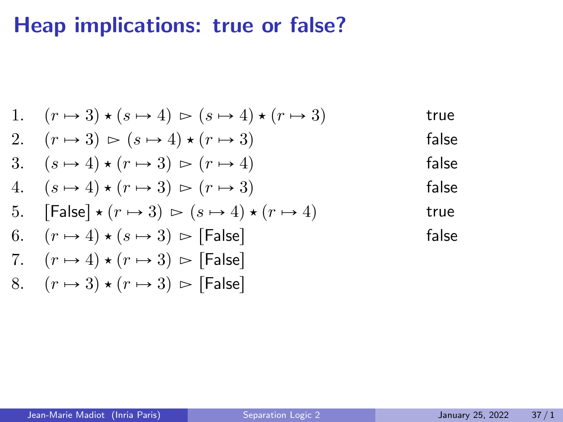1. 
$$
(r \rightarrow 3) \star (s \rightarrow 4) \rightharpoonup (s \rightarrow 4) \star (r \rightarrow 3)
$$
 true  
\n2.  $(r \rightarrow 3) \rightharpoonup (s \rightarrow 4) \star (r \rightarrow 3)$  false  
\n3.  $(s \rightarrow 4) \star (r \rightarrow 3) \rightharpoonup (r \rightarrow 4)$  false false  
\n4.  $(s \rightarrow 4) \star (r \rightarrow 3) \rightharpoonup (r \rightarrow 3)$  false false  
\n5. [False]  $\star (r \rightarrow 3) \rightharpoonup (s \rightarrow 4) \star (r \rightarrow 4)$  true  
\n6.  $(r \rightarrow 4) \star (s \rightarrow 3) \rightharpoonup$  [False] false false  
\n7.  $(r \rightarrow 4) \star (r \rightarrow 3) \rightharpoonup$  [False] false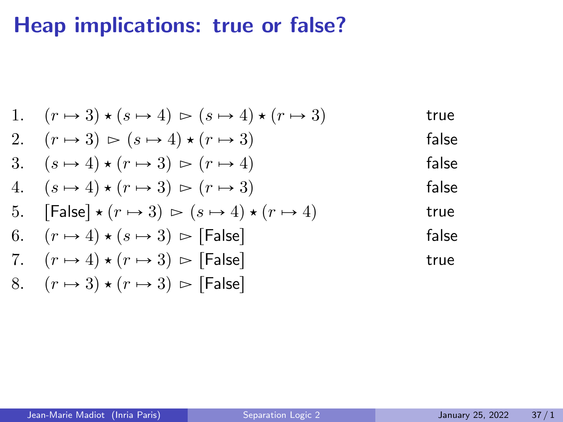1. 
$$
(r \rightarrow 3) \star (s \rightarrow 4) \succ (s \rightarrow 4) \star (r \rightarrow 3)
$$
 true  
\n2.  $(r \rightarrow 3) \succ (s \rightarrow 4) \star (r \rightarrow 3)$  false false  
\n3.  $(s \rightarrow 4) \star (r \rightarrow 3) \succ (r \rightarrow 4)$  false false  
\n4.  $(s \rightarrow 4) \star (r \rightarrow 3) \succ (r \rightarrow 3)$  false false  
\n5. [False]  $\star (r \rightarrow 3) \succ (s \rightarrow 4) \star (r \rightarrow 4)$  true  
\n6.  $(r \rightarrow 4) \star (s \rightarrow 3) \succ$  [False] false true  
\n7.  $(r \rightarrow 4) \star (r \rightarrow 3) \succ$  [False] true true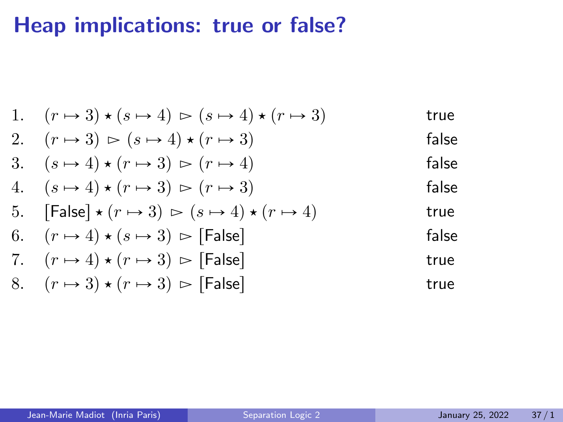| 1. $(r \rightarrow 3) \star (s \rightarrow 4) \rhd (s \rightarrow 4) \star (r \rightarrow 3)$ | true  |
|-----------------------------------------------------------------------------------------------|-------|
| 2. $(r \rightarrow 3) \rhd (s \rightarrow 4) \star (r \rightarrow 3)$                         | false |
| 3. $(s \rightarrow 4) \star (r \rightarrow 3) \rhd (r \rightarrow 4)$                         | false |
| 4. $(s \rightarrow 4) \star (r \rightarrow 3) \rhd (r \rightarrow 3)$                         | false |
| 5. [False] $\star (r \rightarrow 3) \rhd (s \rightarrow 4) \star (r \rightarrow 4)$           | true  |
| 6. $(r \rightarrow 4) \star (s \rightarrow 3) \rhd$ [False]                                   | false |
| 7. $(r \rightarrow 4) \star (r \rightarrow 3) \rhd$ [False]                                   | true  |
| 8. $(r \rightarrow 3) \star (r \rightarrow 3) \rhd$ [False]                                   | true  |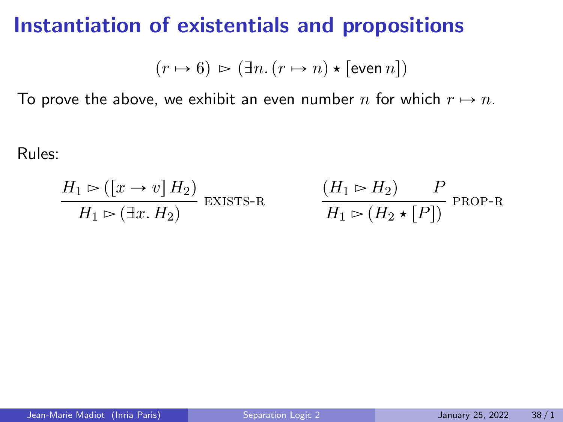#### Instantiation of existentials and propositions

$$
(r \mapsto 6) \, \rhd \, (\exists n. \, (r \mapsto n) \star \, [\text{even } n])
$$

To prove the above, we exhibit an even number n for which  $r \mapsto n$ .

Rules:

$$
\frac{H_1 \rhd ([x \to v] H_2)}{H_1 \rhd (\exists x. H_2)} \text{ existsrs-}R
$$

$$
\frac{(H_1 \rhd H_2)}{H_1 \rhd (H_2 \star [P])}
$$
 *PROP-R*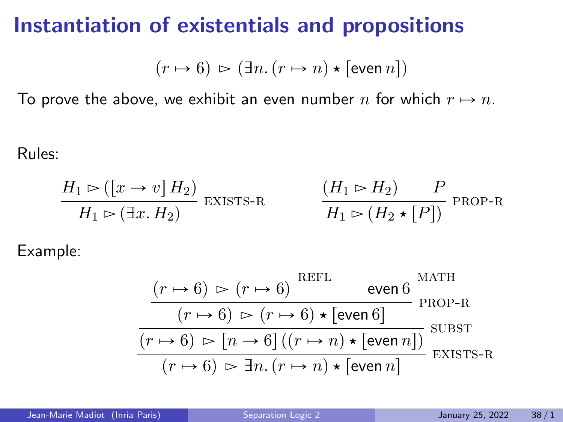#### Instantiation of existentials and propositions

$$
(r \mapsto 6) \, \rhd \, (\exists n. \, (r \mapsto n) \star \, [\text{even } n])
$$

To prove the above, we exhibit an even number n for which  $r \mapsto n$ .

Rules:

$$
\frac{H_1 \rhd ([x \to v] H_2)}{H_1 \rhd (\exists x. H_2)} \text{ existsrs-}\n\qquad\n\frac{(H_1 \rhd H_2) \qquad P}{H_1 \rhd (H_2 \star [P])} \text{prop-}\n\right\}
$$

Example:

$$
\frac{\overbrace{(r \mapsto 6) \bowtie (r \mapsto 6)}^{\text{REFL}} \text{even } 6}{(r \mapsto 6) \bowtie (r \mapsto 6) \star [\text{even } 6]}^{\text{REF}} \text{PROP-R}}{\overbrace{(r \mapsto 6) \bowtie [n \rightarrow 6] \ ((r \mapsto n) \star [\text{even } n])}_{\text{EVIST}}^{\text{SUBST}}}
$$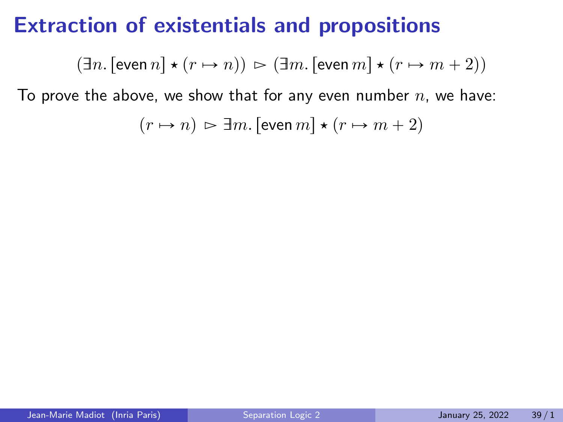#### Extraction of existentials and propositions

$$
(\exists n.\, [\text{even}\, n] \star (r \mapsto n)) \, \rhd \, (\exists m.\, [\text{even}\, m] \star (r \mapsto m+2))
$$

To prove the above, we show that for any even number  $n$ , we have:

$$
(r \mapsto n) \, \rhd \, \exists m. \, [\text{even } m] \star (r \mapsto m+2)
$$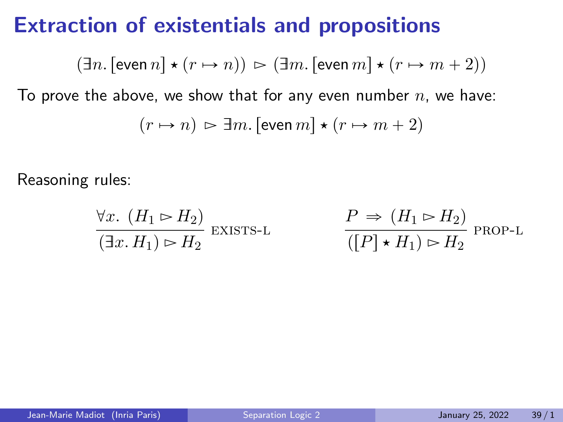#### Extraction of existentials and propositions

$$
(\exists n.\, [\text{even}\, n] \star (r \mapsto n)) \, \rhd \, (\exists m.\, [\text{even}\, m] \star (r \mapsto m+2))
$$

To prove the above, we show that for any even number  $n$ , we have:

$$
(r \mapsto n) \, \rhd \, \exists m. \, [\text{even } m] \star (r \mapsto m + 2)
$$

Reasoning rules:

$$
\frac{\forall x. (H_1 \rhd H_2)}{(\exists x. H_1) \rhd H_2} \text{ exists.}
$$
\n
$$
\frac{P \Rightarrow (H_1 \rhd H_2)}{([P] \cdot H_1) \rhd H_2} \text{ proof.}
$$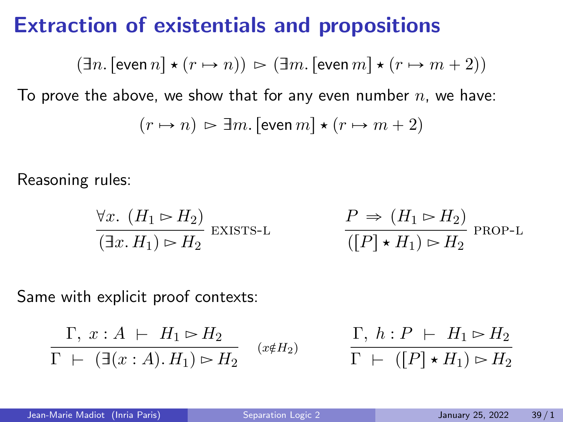#### Extraction of existentials and propositions

$$
(\exists n.\, [\text{even}\, n] \star (r \mapsto n)) \, \rhd \, (\exists m.\, [\text{even}\, m] \star (r \mapsto m+2))
$$

To prove the above, we show that for any even number  $n$ , we have:

$$
(r \mapsto n) \, \rhd \, \exists m. \, [\text{even } m] \star (r \mapsto m+2)
$$

Reasoning rules:

$$
\frac{\forall x. (H_1 \rhd H_2)}{(\exists x. H_1) \rhd H_2} \text{ existsrs-L}
$$
\n
$$
\frac{P \Rightarrow (H_1 \rhd H_2)}{([P] \cdot H_1) \rhd H_2} \text{ prop-L}
$$

Same with explicit proof contexts:

$$
\frac{\Gamma, x:A \vdash H_1 \rhd H_2}{\Gamma \vdash (\exists (x:A).H_1) \rhd H_2} \quad (x \notin H_2)
$$

$$
\frac{\Gamma, h : P \vdash H_1 \rhd H_2}{\Gamma \vdash ([P] \star H_1) \rhd H_2}
$$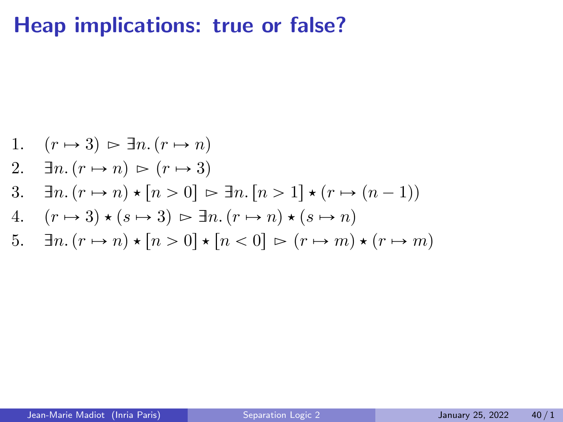1. 
$$
(r \mapsto 3) \triangleright \exists n. (r \mapsto n)
$$
  
\n2.  $\exists n. (r \mapsto n) \triangleright (r \mapsto 3)$   
\n3.  $\exists n. (r \mapsto n) \star [n > 0] \triangleright \exists n. [n > 1] \star (r \mapsto (n - 1))$   
\n4.  $(r \mapsto 3) \star (s \mapsto 3) \triangleright \exists n. (r \mapsto n) \star (s \mapsto n)$   
\n5.  $\exists n. (r \mapsto n) \star [n > 0] \star [n < 0] \triangleright (r \mapsto m) \star (r \mapsto m)$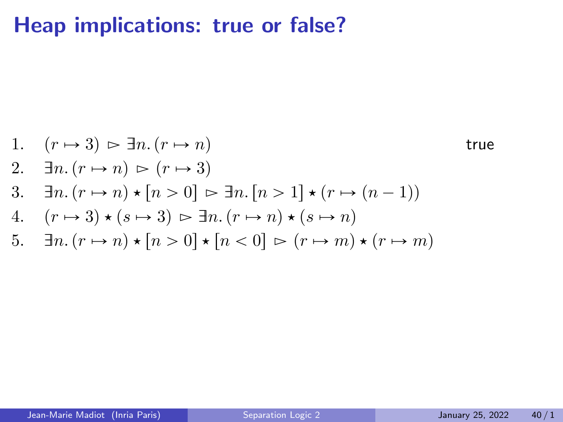1. 
$$
(r \mapsto 3) \triangleright \exists n. (r \mapsto n)
$$
 true  
\n2.  $\exists n. (r \mapsto n) \triangleright (r \mapsto 3)$   
\n3.  $\exists n. (r \mapsto n) \star [n > 0] \triangleright \exists n. [n > 1] \star (r \mapsto (n - 1))$   
\n4.  $(r \mapsto 3) \star (s \mapsto 3) \triangleright \exists n. (r \mapsto n) \star (s \mapsto n)$   
\n5.  $\exists n. (r \mapsto n) \star [n > 0] \star [n < 0] \triangleright (r \mapsto m) \star (r \mapsto m)$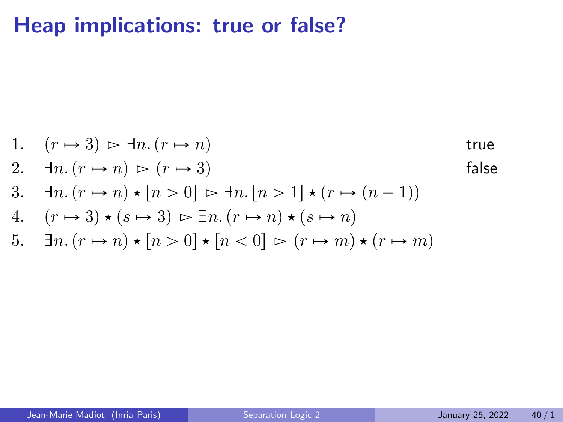1. 
$$
(r \rightarrow 3) \rightharpoonup \exists n. (r \rightarrow n)
$$
 true  
\n2.  $\exists n. (r \rightarrow n) \rightharpoonup (r \rightarrow 3)$  false  
\n3.  $\exists n. (r \rightarrow n) \star [n > 0] \rightharpoonup \exists n. [n > 1] \star (r \rightarrow (n - 1))$   
\n4.  $(r \rightarrow 3) \star (s \rightarrow 3) \rightharpoonup \exists n. (r \rightarrow n) \star (s \rightarrow n)$   
\n5.  $\exists n. (r \rightarrow n) \star [n > 0] \star [n < 0] \rightharpoonup (r \rightarrow m) \star (r \rightarrow m)$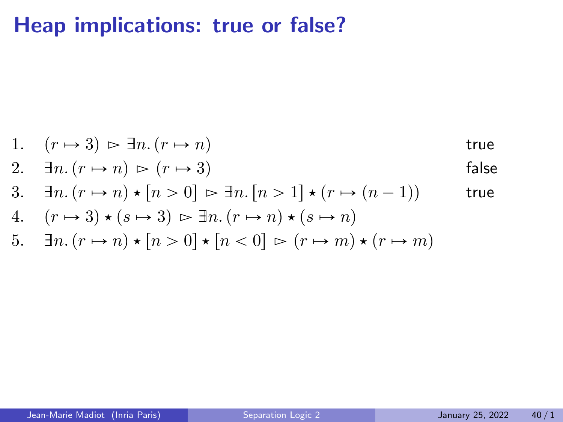1. 
$$
(r \mapsto 3) \geq \exists n \ (r \mapsto n)
$$
 true

2. 
$$
\exists n. (r \mapsto n) \ge (r \mapsto 3)
$$
 false

3. 
$$
\exists n.(r \mapsto n) \star [n > 0] \succ \exists n.[n > 1] \star (r \mapsto (n-1))
$$
 true

4. 
$$
(r \mapsto 3) \star (s \mapsto 3) \Rightarrow \exists n. (r \mapsto n) \star (s \mapsto n)
$$

5. 
$$
\exists n.(r \mapsto n) \star [n > 0] \star [n < 0] \succ (r \mapsto m) \star (r \mapsto m)
$$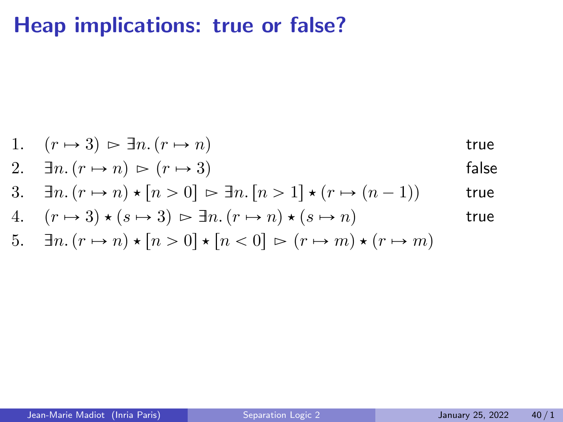1. 
$$
(r \mapsto 3) \geq \exists n \ (r \mapsto n)
$$
 true

2. 
$$
\exists n. (r \mapsto n) \ge (r \mapsto 3)
$$
 false

3. 
$$
\exists n.(r \mapsto n) \star [n > 0] \succ \exists n.[n > 1] \star (r \mapsto (n-1))
$$
 true

4. 
$$
(r \mapsto 3) \star (s \mapsto 3) \geq \exists n. (r \mapsto n) \star (s \mapsto n)
$$
 true

5. 
$$
\exists n.(r \mapsto n) \star [n > 0] \star [n < 0] \succ (r \mapsto m) \star (r \mapsto m)
$$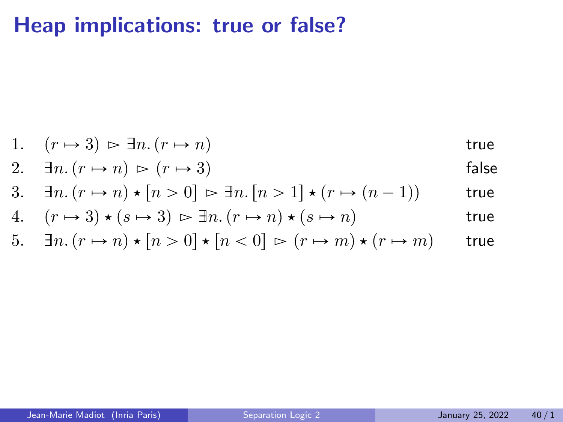# Heap implications: true or false?

1. 
$$
(r \mapsto 3) \geq \exists n \ (r \mapsto n)
$$
 true

2. 
$$
\exists n. (r \mapsto n) \ge (r \mapsto 3)
$$
 false

3. 
$$
\exists n.(r \mapsto n) \star [n > 0] \succ \exists n.[n > 1] \star (r \mapsto (n-1))
$$
 true

4. 
$$
(r \mapsto 3) \star (s \mapsto 3) \Rightarrow \exists n. (r \mapsto n) \star (s \mapsto n)
$$
 true

5. 
$$
\exists n.(r \mapsto n) \star [n > 0] \star [n < 0] \succ (r \mapsto m) \star (r \mapsto m)
$$
 true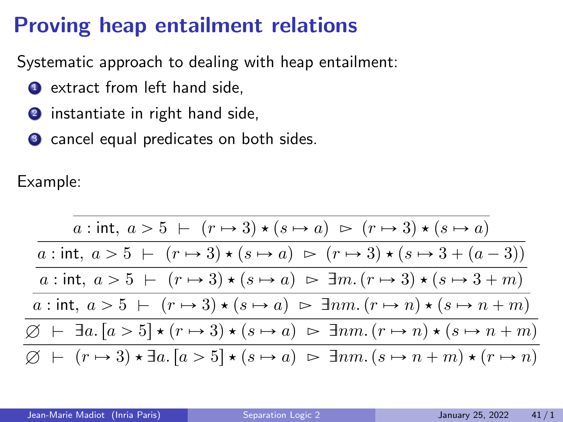# Proving heap entailment relations

Systematic approach to dealing with heap entailment:

- **1** extract from left hand side,
- 2 instantiate in right hand side,
- <sup>3</sup> cancel equal predicates on both sides.

Example:

$$
\frac{a:\operatorname{int}, a > 5 \mid (r \mapsto 3) \star (s \mapsto a) \ge (r \mapsto 3) \star (s \mapsto a)}{a:\operatorname{int}, a > 5 \mid (r \mapsto 3) \star (s \mapsto a) \ge (r \mapsto 3) \star (s \mapsto 3 + (a-3))}
$$
\n
$$
\frac{a:\operatorname{int}, a > 5 \mid (r \mapsto 3) \star (s \mapsto a) \ge \exists m. (r \mapsto 3) \star (s \mapsto 3 + m)}{a:\operatorname{int}, a > 5 \mid (r \mapsto 3) \star (s \mapsto a) \ge \exists nm. (r \mapsto n) \star (s \mapsto n + m)}
$$
\n
$$
\frac{\emptyset \mid \vdash \exists a. [a > 5] \star (r \mapsto 3) \star (s \mapsto a) \ge \exists nm. (r \mapsto n) \star (s \mapsto n + m)}{\emptyset \mid (r \mapsto 3) \star \exists a. [a > 5] \star (s \mapsto a) \ge \exists nm. (s \mapsto n + m) \star (r \mapsto n)}
$$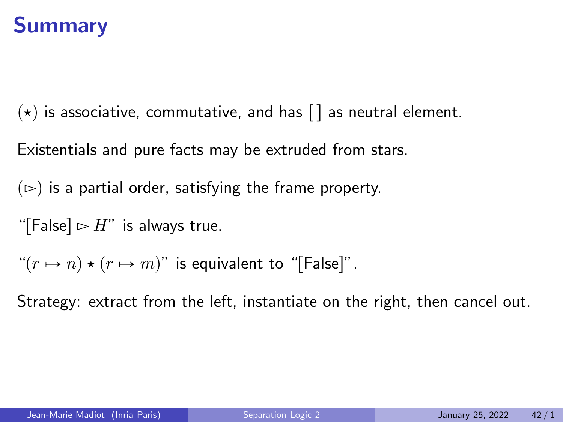# Summary

 $(\star)$  is associative, commutative, and has  $\lceil \cdot \rceil$  as neutral element.

Existentials and pure facts may be extruded from stars.

 $(\triangleright)$  is a partial order, satisfying the frame property.

"[False]  $\triangleright H$ " is always true.

" $(r \mapsto n) \star (r \mapsto m)$ " is equivalent to "[False]".

Strategy: extract from the left, instantiate on the right, then cancel out.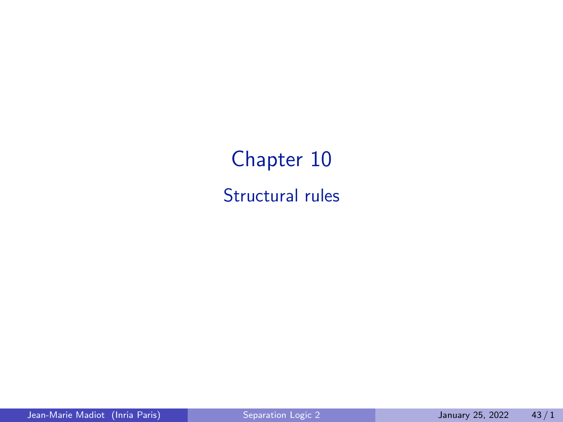Chapter 10 Structural rules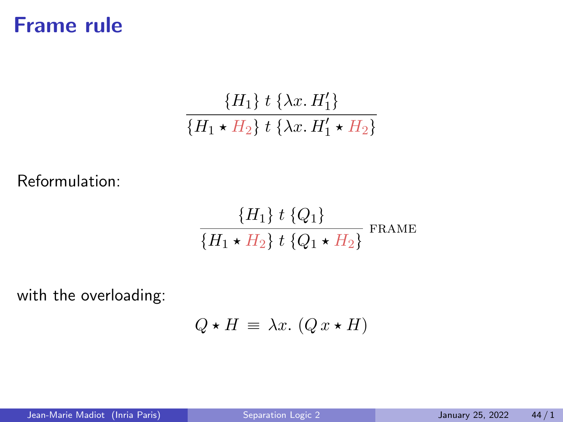### Frame rule

$$
\frac{\{H_1\} \, t \, \{\lambda x. H_1'\}}{\{H_1 \star H_2\} \, t \, \{\lambda x. H_1' \star H_2\}}
$$

Reformulation:

$$
\frac{\{H_1\} \ t \ \{Q_1\}}{\{H_1 \star H_2\} \ t \ \{Q_1 \star H_2\}} \ \text{frame}
$$

with the overloading:

$$
Q \star H \equiv \lambda x. (Q x \star H)
$$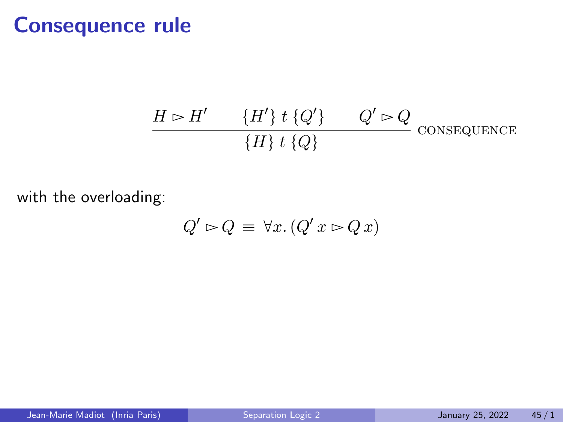### Consequence rule

$$
\frac{H \rhd H' \qquad \{H'\} \ t \ \{Q'\} \qquad Q' \rhd Q}{\{H\} \ t \ \{Q\}} \ \text{consequence}
$$

with the overloading:

$$
Q' \rhd Q \equiv \forall x. (Q'x \rhd Qx)
$$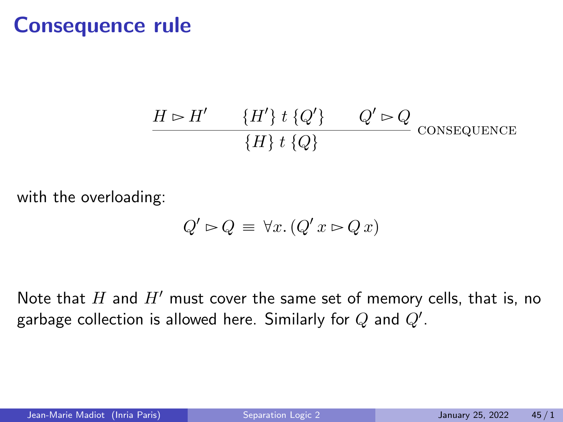#### Consequence rule

$$
\frac{H \rhd H' \qquad \{H'\} \ t \ \{Q'\} \qquad Q' \rhd Q}{\{H\} \ t \ \{Q\}} \ \text{consequence}
$$

with the overloading:

$$
Q' \rhd Q \equiv \forall x. (Q' \, x \rhd Q \, x)
$$

Note that  $H$  and  $H'$  must cover the same set of memory cells, that is, no garbage collection is allowed here. Similarly for  $Q$  and  $Q^{\prime}.$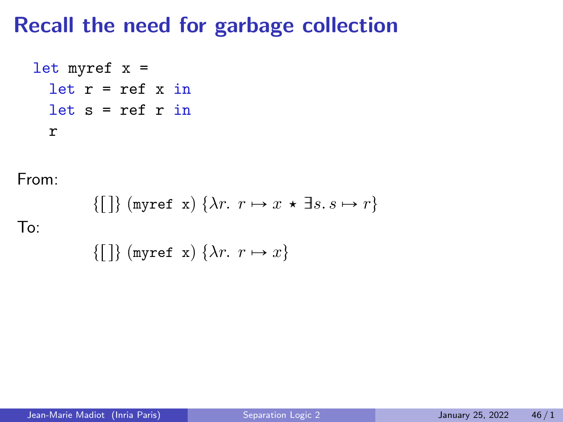### Recall the need for garbage collection

```
let myref x =let r = ref x inlet s = ref r inr
```
From:

$$
\{[\,]\} \text{ (myref x) } \{\lambda r. \ r \mapsto x \star \exists s. \ s \mapsto r\}
$$

 $To'$ 

 $\{\begin{bmatrix} \end{bmatrix}\}$  (myref x)  $\{\lambda r. \ r \mapsto x\}$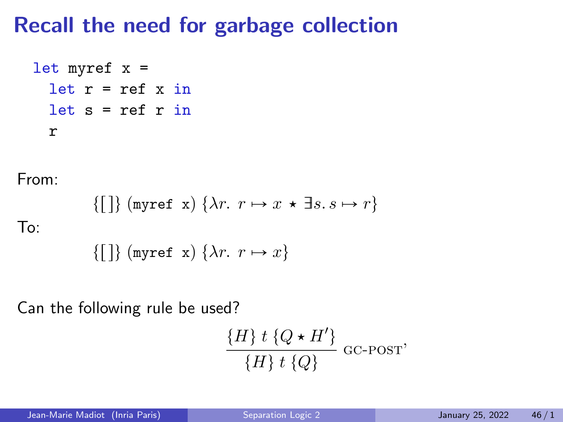## Recall the need for garbage collection

```
let myref x =let r = ref x inlet s = ref r in
 r
```
From:

$$
\{[\,]\}\text{ (myref x) }\{\lambda r.\ r \mapsto x \star \exists s.\ s \mapsto r\}
$$

 $To'$ 

$$
\{[\,]\} \text{ (myref x) }\{\lambda r. \ r \mapsto x\}
$$

Can the following rule be used?

$$
\frac{\{H\} t \{Q \star H'\}}{\{H\} t \{Q\}} \text{ GC-POST'}
$$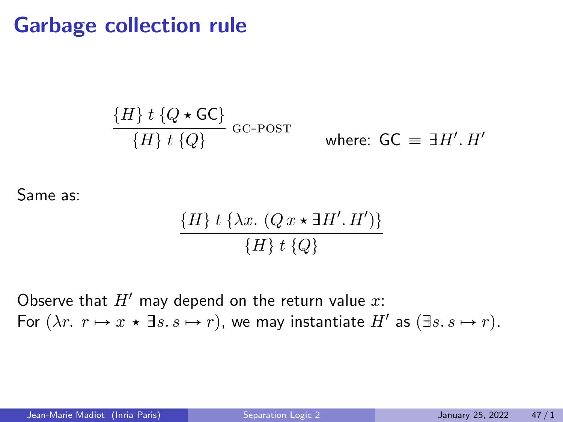### Garbage collection rule

$$
\frac{\{H\} t \{Q \star \mathsf{GC}\}}{\{H\} t \{Q\}} \ \mathrm{GC\text{-}POST} \qquad \text{where: } \ \mathsf{GC} \equiv \exists H'. H'
$$

Same as:

$$
\frac{\{H\} t \{\lambda x. (Q x \star \exists H'. H')\}}{\{H\} t \{Q\}}
$$

Observe that  $H'$  may depend on the return value  $x$ : For  $(\lambda r. r \mapsto x \star \exists s. s \mapsto r)$ , we may instantiate  $H'$  as  $(\exists s. s \mapsto r)$ .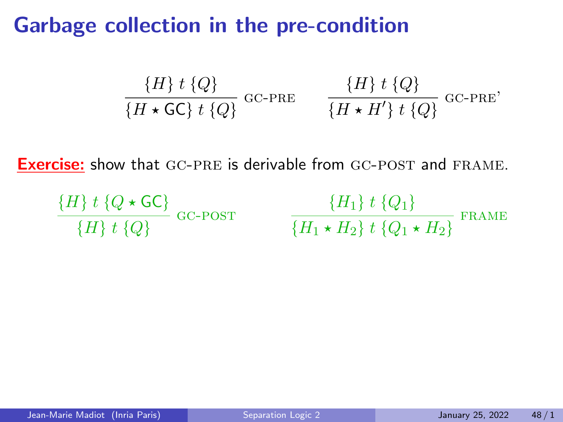### Garbage collection in the pre-condition

$$
\frac{\{H\} t \{Q\}}{\{H \star \mathsf{GC}\} t \{Q\}} \quad \text{GC-PRE} \qquad \frac{\{H\} t \{Q\}}{\{H \star H'\} t \{Q\}} \quad \text{GC-PRE'}
$$

**Exercise:** show that GC-PRE is derivable from GC-POST and FRAME.

$$
\frac{\{H\} t \{Q \star \mathsf{GC}\}}{\{H\} t \{Q\}} \text{ GC-POST} \qquad \frac{\{H_1\} t \{Q_1\}}{\{H_1 \star H_2\} t \{Q_1 \star H_2\}} \text{ FRAME}
$$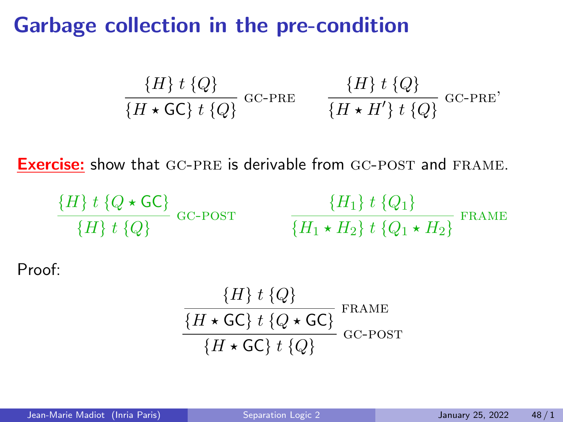### Garbage collection in the pre-condition

$$
\frac{\{H\} t \{Q\}}{\{H \star \mathsf{GC}\} t \{Q\}} \quad \text{GC-PRE} \qquad \frac{\{H\} t \{Q\}}{\{H \star H'\} t \{Q\}} \quad \text{GC-PRE'}
$$

**Exercise:** show that GC-PRE is derivable from GC-POST and FRAME.

$$
\frac{\{H\} t \{Q \star \mathsf{GC}\}}{\{H\} t \{Q\}} \ \mathsf{GC\text{-}POST} \qquad \frac{\{H_1\} t \{Q_1\}}{\{H_1 \star H_2\} t \{Q_1 \star H_2\}} \ \mathsf{FRAME}
$$

Proof:

$$
\frac{\{H\} t \{Q\}}{\{H \star \mathsf{GC}\} t \{Q \star \mathsf{GC}\}} \mathsf{FRAME}\n\frac{\{H \star \mathsf{GC}\} t \{Q \star \mathsf{GC}\}}{\{H \star \mathsf{GC}\} t \{Q\}} \mathsf{GC\text{-}POST}
$$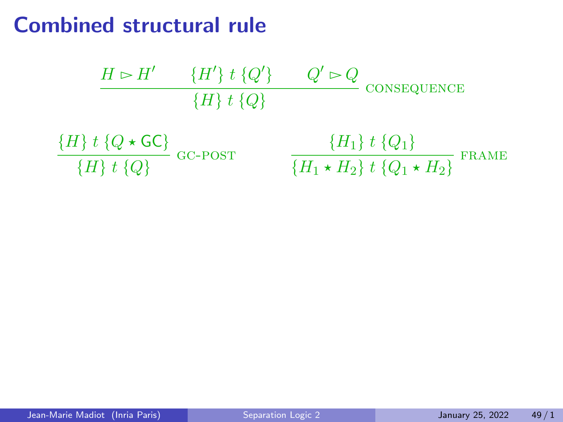### Combined structural rule

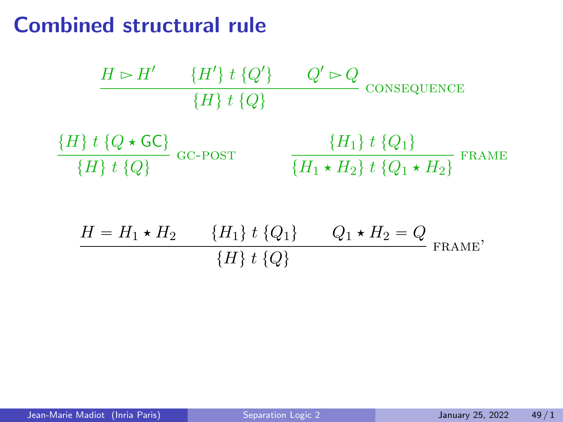## Combined structural rule

$$
\frac{H \rhd H' \quad \{H'\} \ t \ \{Q'\} \quad Q' \rhd Q}{\{H\} \ t \ \{Q\}}
$$
consequence  

$$
\frac{\{H\} \ t \ \{Q \star \mathsf{GC}\}}{\{H\} \ t \ \{Q\}}
$$
GC-POST  

$$
\frac{\{H_1\} \ t \ \{Q_1\}}{\{H_1 \star H_2\} \ t \ \{Q_1 \star H_2\}}
$$
 FRAME

$$
\frac{H = H_1 \star H_2 \qquad \{H_1\} \; t \; \{Q_1\}}{\{H\} \; t \; \{Q\}} \qquad Q_1 \star H_2 = Q \qquad \text{FRAME'}
$$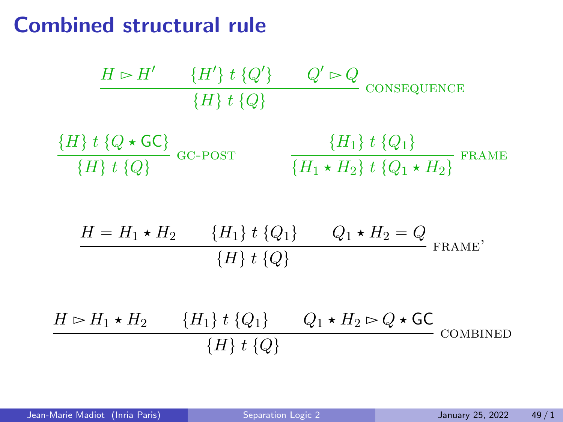## Combined structural rule

$$
\frac{H \rhd H' \quad \{H'\} t \{Q'\} \quad Q' \rhd Q}{\{H\} t \{Q\}}
$$
consequence  

$$
\frac{\{H\} t \{Q \star \mathsf{GC}\}}{\{H\} t \{Q\}}
$$
GC-POST  

$$
\frac{\{H_1\} t \{Q_1\}}{\{H_1 \star H_2\} t \{Q_1 \star H_2\}}
$$
FRAME  

$$
\frac{H = H_1 \star H_2 \quad \{H_1\} t \{Q_1\}}{\{H\} t \{Q\}}
$$

$$
\frac{H \rhd H_1 \star H_2 \quad \{H_1\} t \{Q_1\}}{\{H\} t \{Q\}}
$$
FRAME'  

$$
\frac{H \rhd H_1 \star H_2 \quad \{H_1\} t \{Q_1\}}{\{H\} t \{Q\}}
$$
COMBINED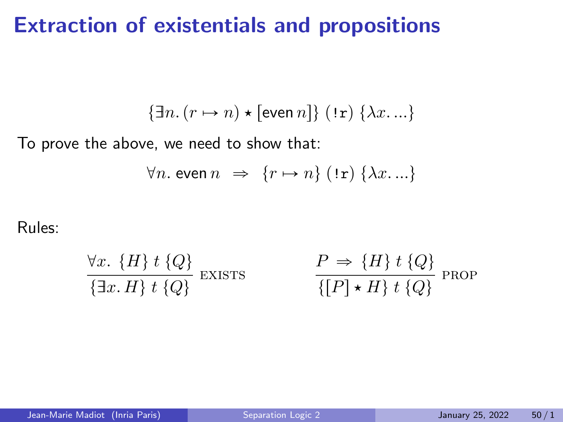### Extraction of existentials and propositions

$$
\{\exists n. (r \mapsto n) \star [\text{even } n] \} \; (\texttt{!r}) \; \{\lambda x. \ldots \}
$$

To prove the above, we need to show that:

$$
\forall n. \text{ even } n \Rightarrow \{r \mapsto n\} \text{ } (\text{!r}) \text{ } \{\lambda x \ldots\}
$$

Rules:

$$
\frac{\forall x. \{H\} \ t \{Q\}}{\{\exists x. \ H\} \ t \{Q\}} \ \text{EXISTS} \qquad \qquad \frac{P \Rightarrow \{H\} \ t \{Q\}}{\{[P] \star H\} \ t \{Q\}} \ \text{PROP}
$$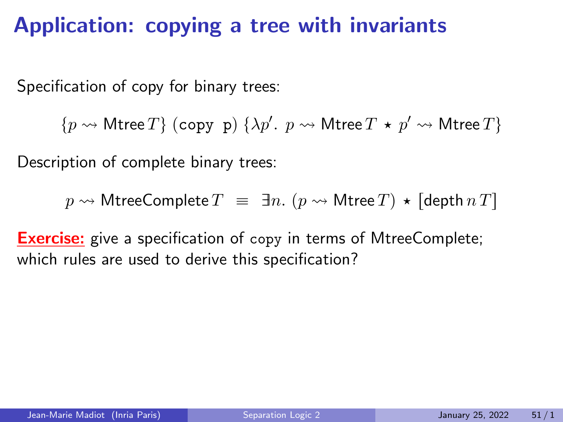# Application: copying a tree with invariants

Specification of copy for binary trees:

 $\{p \leadsto \mathsf{Mtree}\, T\}$  (copy p)  $\{\lambda p'.\, \ p \leadsto \mathsf{Mtree}\, T\,\star\, p' \leadsto \mathsf{Mtree}\, T\}$ 

Description of complete binary trees:

 $p \rightsquigarrow$  MtreeComplete  $T = \exists n.$   $(p \rightsquigarrow$  Mtree  $T) \star$  [depth  $nT$ ]

**Exercise:** give a specification of copy in terms of MtreeComplete; which rules are used to derive this specification?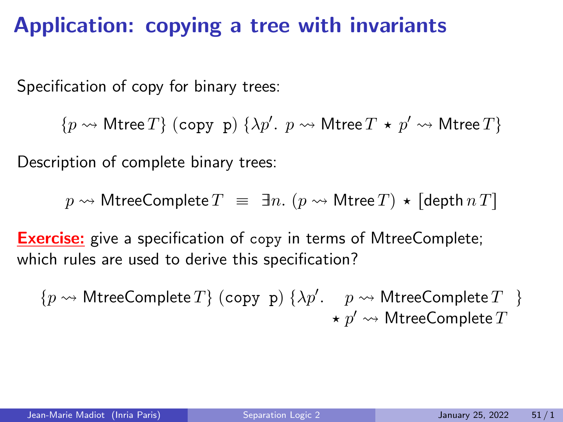# Application: copying a tree with invariants

Specification of copy for binary trees:

 $\{p \leadsto \mathsf{Mtree}\, T\}$  (copy p)  $\{\lambda p'.\, \ p \leadsto \mathsf{Mtree}\, T\,\star\, p' \leadsto \mathsf{Mtree}\, T\}$ 

Description of complete binary trees:

 $p \rightsquigarrow$  MtreeComplete  $T = \exists n.$   $(p \rightsquigarrow$  Mtree  $T) \star$  [depth  $nT$ ]

**Exercise:** give a specification of copy in terms of MtreeComplete; which rules are used to derive this specification?

 $\{p \leadsto \textsf{MtreeComplete}\, T\}$  (copy p)  $\{\lambda p'.\quad p \leadsto \textsf{MtreeComplete}\, T^-\}$  $\star~p' \leadsto \mathsf{MtreeComplete}~T$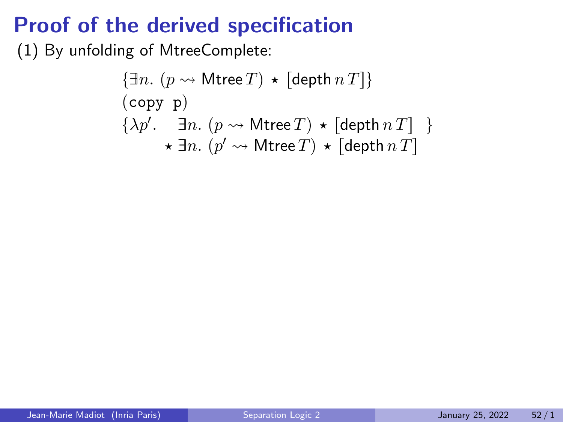# Proof of the derived specification

(1) By unfolding of MtreeComplete:

 $\{\exists n. \ (p \leadsto \mathsf{Mtree}\,T) \star [\mathsf{depth}\,n\,T]\}$  $(copy p)$  $\{\lambda p'. \quad \exists n. \ (p \leadsto \mathsf{Mtree}\,T) \ \star \ [\mathsf{depth}\, n \, T] \ \}$  $\star$   $\exists n.$   $(p' \leadsto$  Mtree  $T) \star$  [depth  $nT$ ]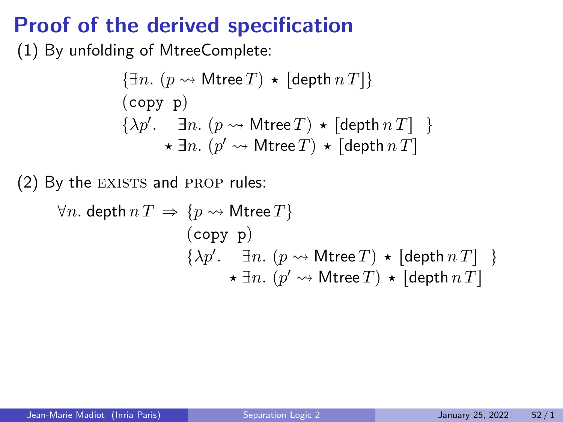# Proof of the derived specification

(1) By unfolding of MtreeComplete:

$$
\{\exists n. (p \rightsquigarrow \text{Mtree } T) \star [\text{depth } n] \}
$$
  
(copy p)  

$$
\{\lambda p'. \quad \exists n. (p \rightsquigarrow \text{Mtree } T) \star [\text{depth } n] \}
$$
  

$$
\star \exists n. (p' \rightsquigarrow \text{Mtree } T) \star [\text{depth } n] \}
$$

(2) By the EXISTS and PROP rules:

$$
\forall n. \text{ depth } n \, T \implies \{p \leadsto \text{Mtree } T\}
$$
  
\n
$$
\begin{array}{c}\n\text{(copy p)}\\
\{\lambda p'. \quad \exists n. \ (p \leadsto \text{Mtree } T) \star [\text{depth } n \, T] \quad \} \\
\star \exists n. \ (p' \leadsto \text{Mtree } T) \star [\text{depth } n \, T]\n\end{array}
$$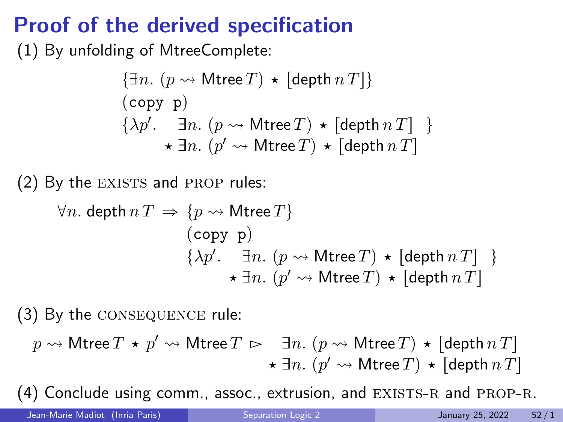# Proof of the derived specification

(1) By unfolding of MtreeComplete:

$$
\{\exists n. (p \rightsquigarrow \text{Mtree } T) \star [\text{depth } n] \}
$$
  
(copy p)  

$$
\{\lambda p'. \quad \exists n. (p \rightsquigarrow \text{Mtree } T) \star [\text{depth } n] \}
$$
  

$$
\star \exists n. (p' \rightsquigarrow \text{Mtree } T) \star [\text{depth } n] \}
$$

 $(2)$  By the EXISTS and PROP rules:

$$
\forall n. \text{ depth } n \, T \implies \{p \leadsto \text{Mtree } T\}
$$
  
\n
$$
\begin{array}{c}\n\text{(copy p)}\\
\{\lambda p'. \quad \exists n. \ (p \leadsto \text{Mtree } T) \star [\text{depth } n \, T] \quad \} \\
\star \exists n. \ (p' \leadsto \text{Mtree } T) \star [\text{depth } n \, T]\n\end{array}
$$

(3) By the consequence rule:

$$
\begin{array}{c} p \rightsquigarrow \mathsf{Mtree}\, T \,\star\, p' \rightsquigarrow \mathsf{Mtree}\, T \,\rhd\, \begin{array}{c} \exists n. \ (p \rightsquigarrow \mathsf{Mtree}\, T) \,\star\, \mathsf{[depth}\, n\, T] \\ \ast\, \exists n. \ (p' \rightsquigarrow \mathsf{Mtree}\, T) \,\star\, \mathsf{[depth}\, n\, T] \end{array} \end{array}
$$

 $(4)$  Conclude using comm., assoc., extrusion, and EXISTS-R and PROP-R.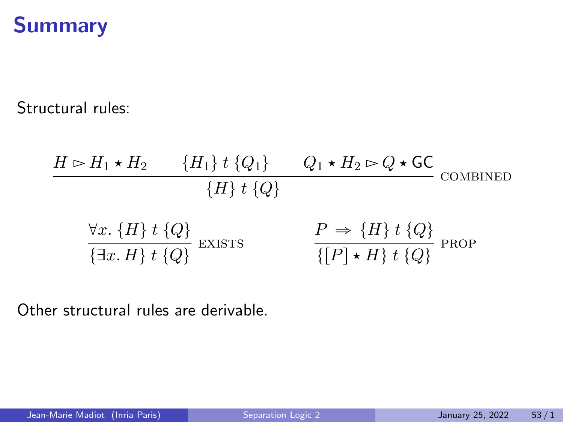# **Summary**

Structural rules:

$$
H \rhd H_1 \star H_2 \qquad \{H_1\} \; t \; \{Q_1\} \qquad Q_1 \star H_2 \rhd Q \star \mathsf{GC}
$$
\n
$$
\{H\} \; t \; \{Q\}
$$
\n
$$
\forall x. \; \{H\} \; t \; \{Q\}
$$
\n
$$
\frac{\forall x. \; \{H\} \; t \; \{Q\}}{\{\exists x. \; H\} \; t \; \{Q\}}
$$
\n
$$
\text{EXISTS} \qquad \qquad \frac{P \Rightarrow \{H\} \; t \; \{Q\}}{\{[P] \star H\} \; t \; \{Q\}}
$$
\n
$$
\text{PROP}
$$

Other structural rules are derivable.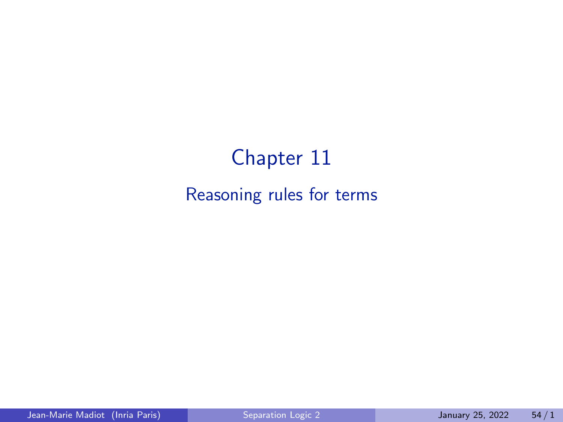# Chapter 11

#### Reasoning rules for terms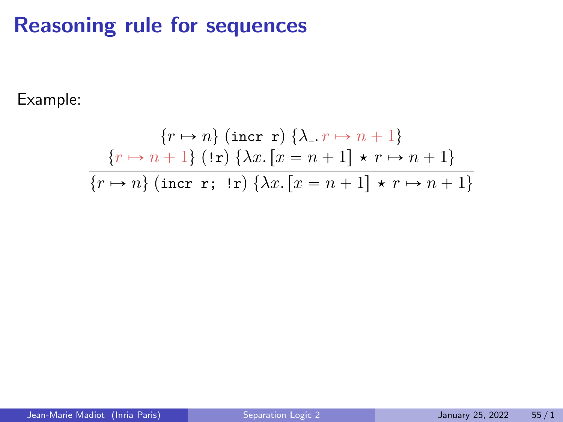# Reasoning rule for sequences

Example:

$$
\{r \mapsto n\} \text{ (incr r)} \{\lambda_{-} r \mapsto n+1\}
$$

$$
\frac{\{r \mapsto n+1\} \text{ (!r)} \{\lambda x. [x=n+1] \star r \mapsto n+1\}}{\{r \mapsto n\} \text{ (incr r; !r)} \{\lambda x. [x=n+1] \star r \mapsto n+1\}}
$$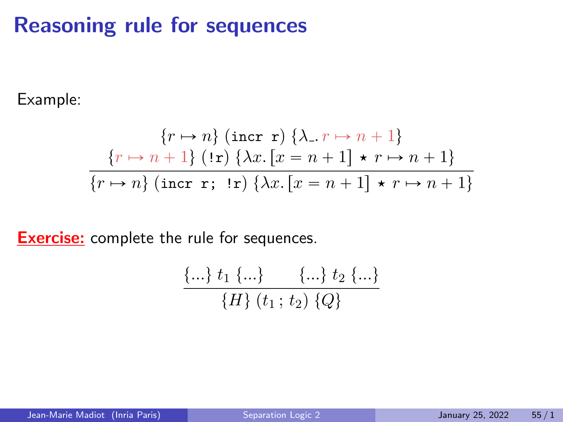# Reasoning rule for sequences

Example:

$$
\{r \mapsto n\} \text{ (incr r)} \{\lambda_{-} r \mapsto n+1\}
$$

$$
\frac{\{r \mapsto n+1\} \text{ (!r)} \{\lambda x. [x=n+1] \star r \mapsto n+1\}}{\{r \mapsto n\} \text{ (incr r; !r)} \{\lambda x. [x=n+1] \star r \mapsto n+1\}}
$$

**Exercise:** complete the rule for sequences.

$$
\frac{\{...\}t_1\{\ldots\}}{\{H\}\ (t_1\,;\,t_2)\ \{Q\}}
$$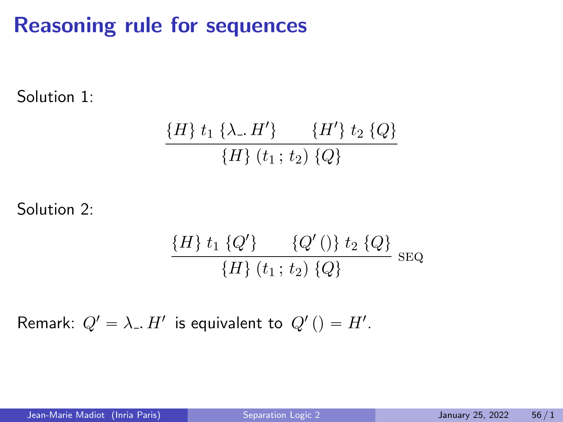# Reasoning rule for sequences

Solution 1:

$$
\frac{\{H\} t_1 \{\lambda \dots H'\} \qquad \{H'\} t_2 \{Q\}}{\{H\} (t_1;t_2) \{Q\}}
$$

Solution 2:

$$
\frac{\{H\} t_1 \{Q'\}}{\{H\} (t_1; t_2) \{Q\}} \text{SEQ}
$$

Remark:  $Q' = \lambda_-. H'$  is equivalent to  $Q'() = H'.$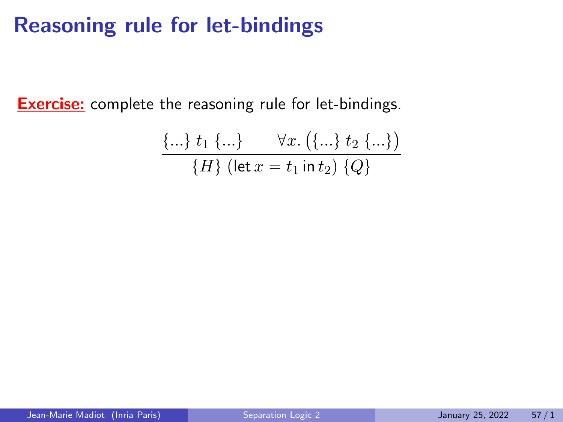# Reasoning rule for let-bindings

**Exercise:** complete the reasoning rule for let-bindings.

$$
\{\ldots\} \ t_1 \ \{\ldots\} \quad \forall x. \ (\{\ldots\} \ t_2 \ \{\ldots\})
$$
  

$$
\{H\} \ (\mathsf{let} \ x = t_1 \ \mathsf{in} \ t_2) \ \{Q\}
$$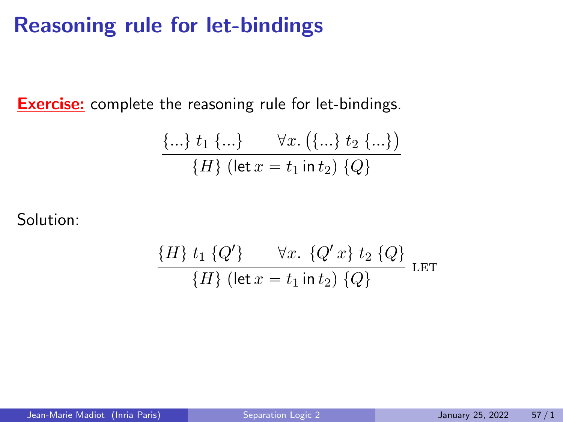## Reasoning rule for let-bindings

**Exercise:** complete the reasoning rule for let-bindings.

$$
\{\ldots\} \ t_1 \ \{\ldots\} \quad \forall x. \ (\{\ldots\} \ t_2 \ \{\ldots\})
$$
  

$$
\{H\} \ (\mathsf{let} \ x = t_1 \ \mathsf{in} \ t_2) \ \{Q\}
$$

Solution:

$$
\frac{\{H\} t_1 \{Q'\} \quad \forall x. \{Q'x\} t_2 \{Q\}}{\{H\} (\text{let } x = t_1 \text{ in } t_2) \{Q\}} \text{ LET}
$$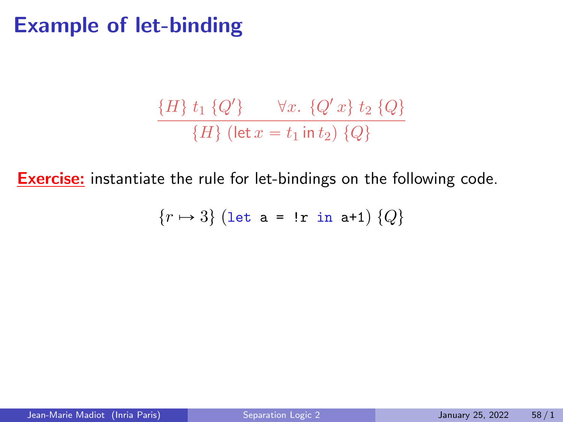### Example of let-binding

$$
\frac{\{H\} t_1 \{Q'\} \quad \forall x. \{Q'x\} t_2 \{Q\}}{\{H\} (\text{let } x = t_1 \text{ in } t_2) \{Q\}}
$$

**Exercise:** instantiate the rule for let-bindings on the following code.

$$
\{r \mapsto 3\} \text{ (let a = !r in a+1) } \{Q\}
$$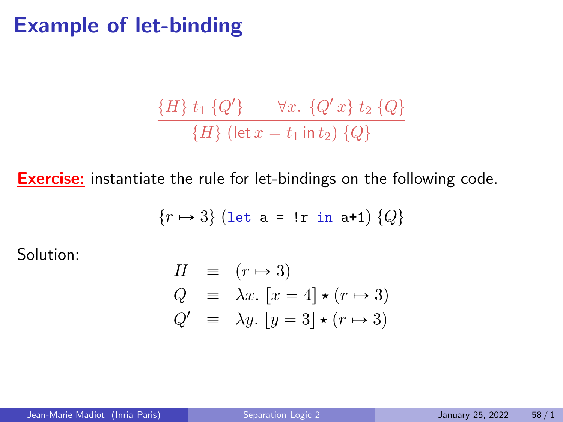### Example of let-binding

$$
\frac{\{H\} t_1 \{Q'\} \quad \forall x. \{Q'x\} t_2 \{Q\}}{\{H\} (\text{let } x = t_1 \text{ in } t_2) \{Q\}}
$$

**Exercise:** instantiate the rule for let-bindings on the following code.

$$
{r \mapsto 3} (\text{let a = !r in a+1}) {Q}
$$

Solution:

$$
H = (r \rightarrow 3)
$$
  
\n
$$
Q = \lambda x. [x = 4] \star (r \rightarrow 3)
$$
  
\n
$$
Q' = \lambda y. [y = 3] \star (r \rightarrow 3)
$$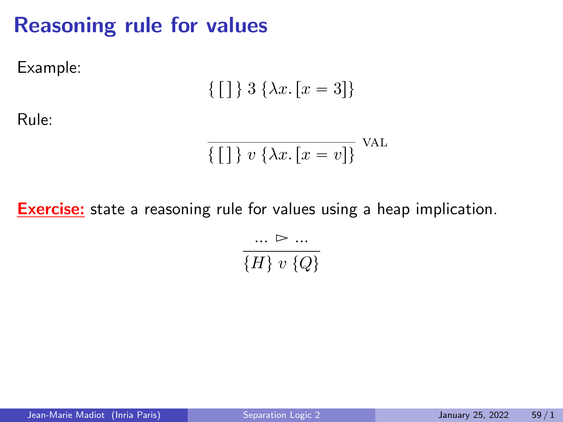# Reasoning rule for values

Example:

$$
\{ [ ] \} 3 \{ \lambda x . [x = 3] \}
$$

Rule:

$$
\overline{\{\,\big[\,\big]\,\}\,v\,\{\lambda x.\,[x=v]\}\,} \text{VAL}
$$

**Exercise:** state a reasoning rule for values using a heap implication.

$$
\frac{1.00 \times 10^{-10}}{\{H\} \times \{Q\}}
$$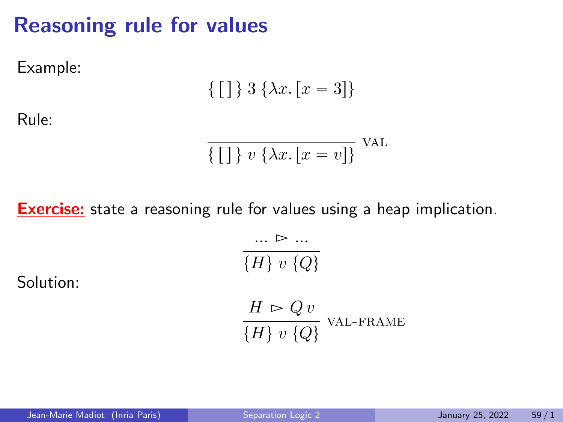# Reasoning rule for values

Example:

$$
\{ [ ] \} 3 \{ \lambda x . [x = 3] \}
$$

Rule:

$$
\overline{\{\,\big[\,\big]\,\}\,v\,\{\lambda x.\,[x=v]\}\,} \text{VAL}
$$

**Exercise:** state a reasoning rule for values using a heap implication.

Solution:

$$
\frac{\dots \triangleright \dots}{\{H\} \ v \ Q\}}\nH \rightharpoonup Q \ v\n\frac{\{H\} \rightharpoonup Q \ v}{\{H\} \ v \ Q\}}\n\text{VAL-FRAME}
$$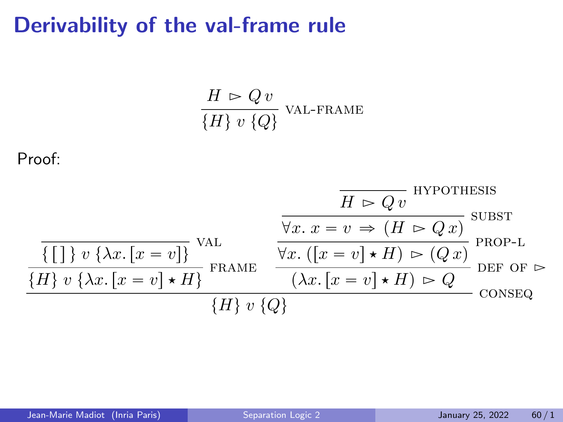# Derivability of the val-frame rule

$$
\frac{H \rhd Q v}{\{H\} v \{Q\}} \text{VAL-FRAME}
$$

Proof:

$$
\frac{\overline{H} \rhd Qv}{\{\[\]\}v \{\lambda x.\ [x=v]\}} \text{VAL}_{\text{FRAME}} \qquad \frac{\overline{H} \rhd Qv}{\forall x.\ x=v \Rightarrow (H \rhd Qx)} \text{SUBST}_{\text{PROP-L}} \\\frac{\{\{\]\}v \{\lambda x.\ [x=v]\}\}}{\{\text{ER}} v \{\lambda x.\ [x=v] \star H\}} \text{FRAME}_{\text{FRAME}} \qquad \frac{\forall x.\ ([x=v] \star H) \rhd (Qx)}{(\lambda x.\ [x=v] \star H) \rhd Q} \text{DEF of } \rhd \text{CONSEQ}_{\text{CMB}} \\\frac{\{\text{ER}} v \{\lambda x.\ [x=v] \star H\}}{\{\text{ER}} v \{\lambda y\}} \qquad \frac{\text{CE}}{\{\text{ER}} v \{\lambda y\}} \qquad \frac{\text{DE}}{\{\text{ER}} v \{\lambda z.\ [x=v] \star H\}} \text{CMB}_{\text{CMB}} \\\frac{\text{DE}}{\{\text{ER}} v \{\lambda z.\ [x=v] \star H\}} \qquad \frac{\text{DE}}{\{\text{ER}} v \{\lambda z.\ [x=v] \star H\}} \qquad \frac{\text{DE}}{\{\text{ER}} v \{\lambda z.\ [x=v] \star H\}} \qquad \frac{\text{DE}}{\{\text{ER}} v \{\lambda z.\ [x=v] \star H\}} \qquad \frac{\text{DE}}{\{\text{ER}} v \{\lambda z.\ [x=v] \star H\}} \qquad \frac{\text{DE}}{\{\text{ER}} v \{\lambda z.\ [x=v] \star H\}} \qquad \frac{\text{DE}}{\{\text{ER}} v \{\lambda z.\ [x=v] \star H\}} \qquad \frac{\text{DE}}{\{\text{ER}} v \{\lambda z.\ [x=v] \star H\}} \qquad \frac{\text{DE}}{\{\text{ER}} v \{\lambda z.\ [x=v] \star H\}} \qquad \frac{\text{DE}}{\{\text{ER}} v \{\lambda z.\ [x=v] \star H\}} \qquad \frac{\text{DE}}{\{\text{ER}} v \{\lambda z.\ [x=v] \star H\}} \qquad \frac{\text{DE}}{\{\text{ER}} v \{\lambda z.\ [x=v] \star H\}} \qquad \frac{\text{DE}}{\{\text{ER}} v \{\lambda z.\ [x=v] \star H\}} \qquad \frac{\text{DE}}{\{\text{ER}} v \{\lambda z.\ [x=v] \star H\}} \qquad \frac{\text{DE}}{\{\text{ER}} v
$$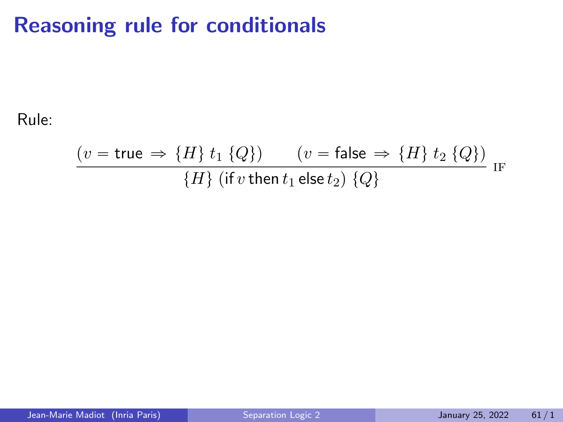# Reasoning rule for conditionals

Rule:

$$
\frac{(v = \text{true} \Rightarrow \{H\} \ t_1 \ \{Q\})}{\{H\} \ (\text{if } v \ \text{then } t_1 \ \text{else } t_2) \ \{Q\}} \ \ \text{IF}
$$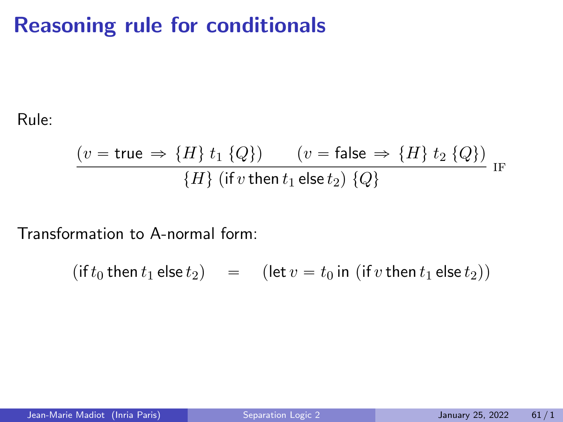# Reasoning rule for conditionals

Rule:

$$
\frac{(v = \text{true} \Rightarrow \{H\} \ t_1 \ \{Q\})}{\{H\} \ (\text{if } v \ \text{then } t_1 \ \text{else } t_2) \ \{Q\}} \ \ \text{IF}
$$

Transformation to A-normal form:

 $(\text{if } t_0 \text{ then } t_1 \text{ else } t_2) = (\text{let } v = t_0 \text{ in } (\text{if } v \text{ then } t_1 \text{ else } t_2))$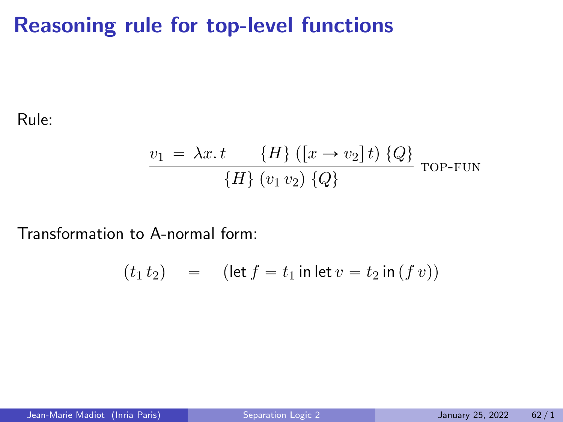# Reasoning rule for top-level functions

Rule:

$$
\frac{v_1 = \lambda x \cdot t \quad \{H\} ((x \rightarrow v_2] t) \{Q\}}{\{H\} (v_1 v_2) \{Q\}}
$$
 TOP-FUN

Transformation to A-normal form:

$$
(t_1 t_2) = (\text{let } f = t_1 \text{ in } \text{let } v = t_2 \text{ in } (f v))
$$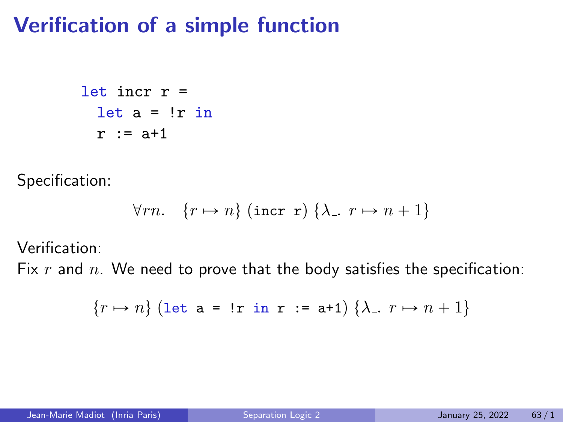### Verification of a simple function

```
let incr r =
let a = !r in
r := a + 1
```
Specification:

$$
\forall rn. \quad \{r \mapsto n\} \text{ (incr r) } \{\lambda_-. \ r \mapsto n+1\}
$$

Verification:

Fix  $r$  and  $n$ . We need to prove that the body satisfies the specification:

$$
\{r \mapsto n\} \text{ (let a = !r in r := a+1) } \{\lambda_-, r \mapsto n+1\}
$$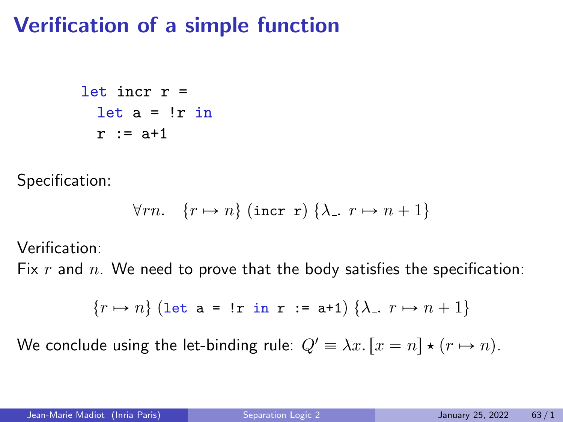### Verification of a simple function

```
let incr r =let a = !r in
r := a+1
```
Specification:

$$
\forall rn. \quad \{r \mapsto n\} \text{ (incr r) } \{\lambda_-. \ r \mapsto n+1\}
$$

Verification:

Fix  $r$  and  $n$ . We need to prove that the body satisfies the specification:

$$
\{r \mapsto n\} \text{ (let a = !r in r := a+1) } \{\lambda_-, r \mapsto n+1\}
$$

We conclude using the let-binding rule:  $Q' \equiv \lambda x$ .  $[x = n] \star (r \mapsto n)$ .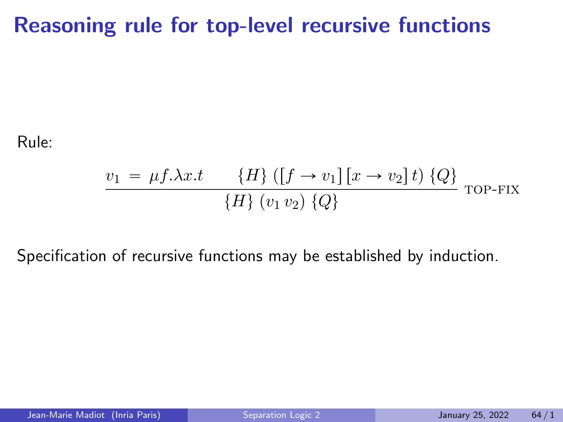#### Reasoning rule for top-level recursive functions

Rule:

$$
\frac{v_1 = \mu f. \lambda x.t \quad \{H\} ((f \to v_1) [x \to v_2] t) \{Q\}}{\{H\} (v_1 v_2) \{Q\}}
$$
TOP-FIX

Specification of recursive functions may be established by induction.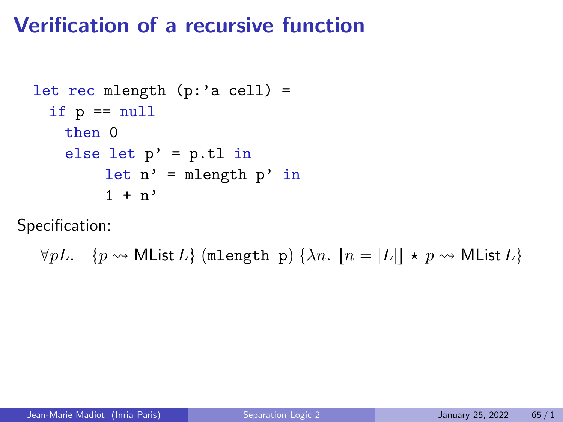## Verification of a recursive function

```
let rec mlength (p: a cell) =
 if p == nullthen 0
  else let p' = p.tl in
       let n' = mlength p' in
       1 + n'
```
Specification:

 $\forall pL. \quad \{p \leadsto \textsf{MList}\,L\} \text{ (mlength p) }\{\lambda n. \; \lceil n = |L|\} \star p \leadsto \textsf{MList}\,L\}$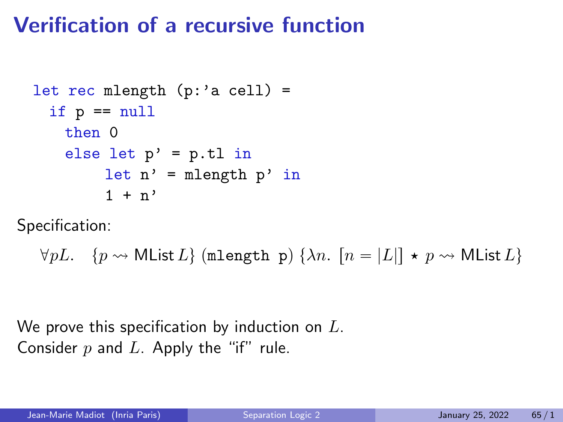# Verification of a recursive function

```
let rec mlength (p: a cell) =
 if p == nullthen 0
  else let p' = p.tl in
       let n' = mlength p' in
       1 + n'
```
Specification:

```
\forall pL. \quad \{p \leadsto \textsf{MList}\,L\} \text{ (mlength p)} \{\lambda n. \; [n = |L|] \star p \leadsto \textsf{MList}\,L\}
```
We prove this specification by induction on  $L$ . Consider  $p$  and  $L$ . Apply the "if" rule.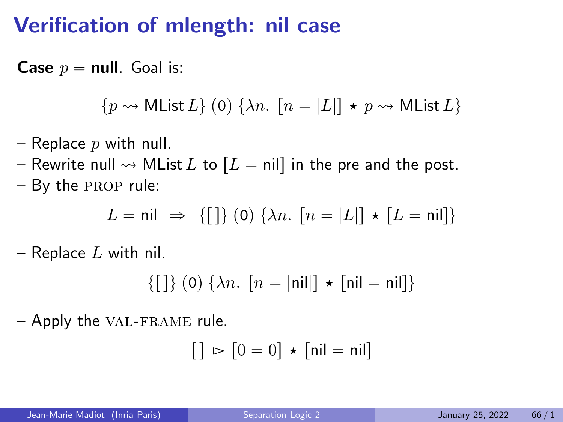### Verification of mlength: nil case

**Case**  $p = \text{null}$ . Goal is:

 $\{p \leadsto MList L\}$  (0)  $\{\lambda n.$   $[n = |L|] \star p \leadsto MList L\}$ 

- Replace  $p$  with null.
- Rewrite null  $\rightsquigarrow$  MList L to  $[L = nil]$  in the pre and the post.
- By the prop rule:

$$
L = \mathsf{nil} \ \Rightarrow \ \{ [\ ]\} \ (0) \ \{\lambda n. \ [n = |L|] \ \star \ [L = \mathsf{nil}] \}
$$

– Replace  $L$  with nil.

$$
\{ [ ] \} (0) \{ \lambda n. [n = |nil] \} \star [nil = nil] \}
$$

– Apply the val-frame rule.

$$
[ ] \rhd [0 = 0 ] \star [ \mathsf{nil} = \mathsf{nil} ]
$$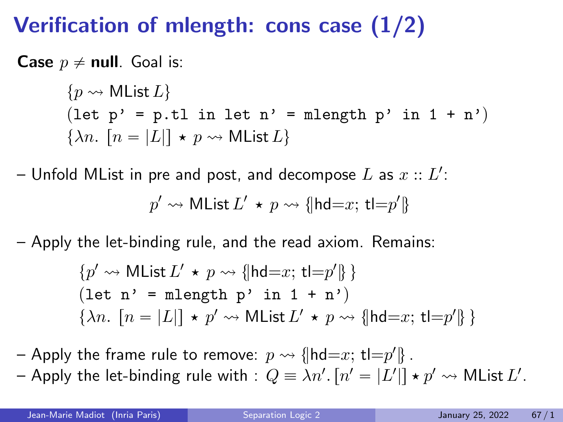### Verification of mlength: cons case (1/2)

**Case**  $p \neq$  **null**. Goal is:

 $\{p \leadsto MList L\}$ (let  $p' = p.tl$  in let  $n' = m$ length  $p'$  in  $1 + n'$ )  $\{\lambda n. \mid n = |L|\} \star p \rightsquigarrow \text{MList } L\}$ 

– Unfold MList in pre and post, and decompose  $L$  as  $x::L^{\prime}:$  $p' \leadsto \mathsf{MList}\,L' \,\star\, p \leadsto \{\!\!\{\mathsf{hd}{=}x;\, \mathsf{tl}{=}p'\}\!\!\}$ 

– Apply the let-binding rule, and the read axiom. Remains:

$$
\{p' \leadsto \text{MList } L' \star p \leadsto \{\text{hd}=x; \, \text{tl}=p'\}\}
$$
  
(let n' = mlength p' in 1 + n')  

$$
\{\lambda n. [n = |L|] \star p' \leadsto \text{MList } L' \star p \leadsto \{\text{hd}=x; \, \text{tl}=p'\}\}
$$

– Apply the frame rule to remove:  $p \rightsquigarrow \{\vert \mathsf{hd}{=}x;\, \mathsf{tl}{=}p'\}$  .

– Apply the let-binding rule with  $\colon Q \equiv \lambda n'. \left[ n' = |L'| \right] \star p' \rightsquigarrow {\sf MList}\, L'.$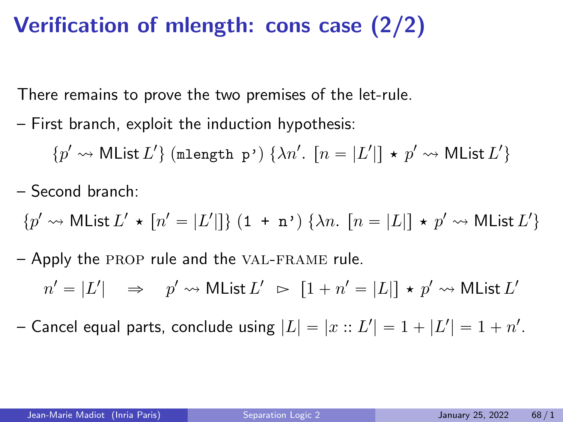### Verification of mlength: cons case (2/2)

There remains to prove the two premises of the let-rule.

– First branch, exploit the induction hypothesis:

 $\{p' \leadsto \mathsf{MList}\, L'\}$  (mlength  $\mathsf{p'}$ )  $\{\lambda n'.\; [n = |L'|] \, \star \, p' \leadsto \mathsf{MList}\, L'\}$ 

– Second branch:

$$
\{p' \leadsto \mathsf{MList}\, L' \,\star\, [n' = |L'|]\} \ (1\; +\; \mathbf{n'} ) \ \{\lambda n. \ [n = |L|] \,\star\, p' \leadsto \mathsf{MList}\, L'\}
$$

– Apply the prop rule and the val-frame rule.

 $n' = |L'| \quad \Rightarrow \quad p' \leadsto \mathsf{MList}\, L' \;\; \rhd \;\; [1+n' = |L|] \, \star \, p' \leadsto \mathsf{MList}\, L'$ 

– Cancel equal parts, conclude using  $|L| = |x::L'| = 1 + |L'| = 1 + n'.$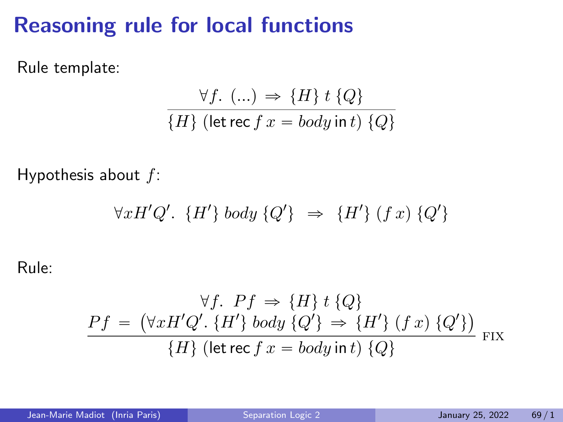### Reasoning rule for local functions

Rule template:

$$
\frac{\forall f. \ (\ldots) \Rightarrow \{H\} \ t \ \{Q\}}{\{H\} \ (\text{let rec } f \ x = body \ \text{in } t) \ \{Q\}}
$$

Hypothesis about  $f$ :

$$
\forall x H' Q'. \{H'\} body \{Q'\} \Rightarrow \{H'\} (f x) \{Q'\}
$$

Rule:

$$
\forall f. \; Pf \Rightarrow \{H\} \; t \; \{Q\}
$$
\n
$$
Pf = (\forall x H' Q'. \; \{H'\} \; body \; \{Q'\} \Rightarrow \{H'\} \; (f \; x) \; \{Q'\})
$$
\n
$$
\{H\} \; (\text{let rec } f \; x = body \; \text{int } \; \{Q\}
$$
\n
$$
\text{Fix}
$$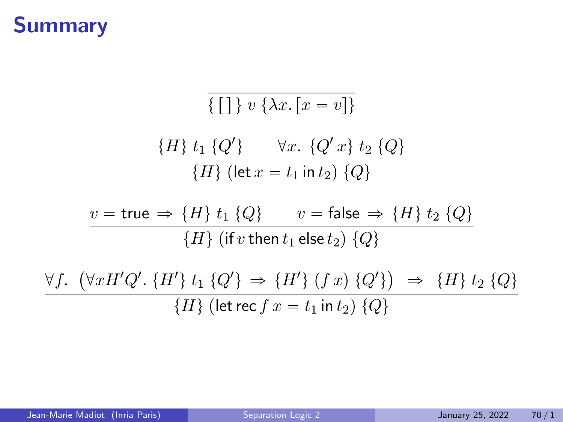### Summary

$$
\overline{\{[] } v \{ \lambda x. [x = v] \}}
$$
\n
$$
\frac{\{H\} t_1 \{Q'\} \quad \forall x. \{Q' x\} t_2 \{Q\}}{\{H\} (\text{let } x = t_1 \text{ in } t_2) \{Q\}}
$$
\n
$$
v = \text{true} \Rightarrow \{H\} t_1 \{Q\} \quad v = \text{false} \Rightarrow \{H\} t_2 \{Q\}
$$
\n
$$
\overline{\{H\} (\text{if } v \text{ then } t_1 \text{ else } t_2) \{Q\}}
$$
\n
$$
\frac{\forall f. \ (\forall x H' Q'. \{H'\} t_1 \{Q'\} \Rightarrow \{H'\} (f x) \{Q'\}) \Rightarrow \{H\} t_2 \{Q\}}{\{H\} (\text{let } \text{rec } f x = t_1 \text{ in } t_2) \{Q\}}
$$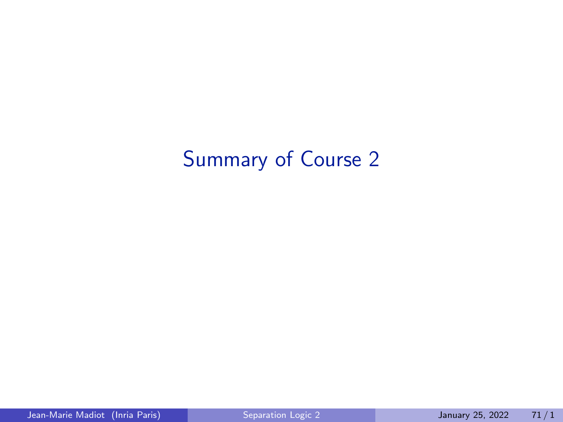# Summary of Course 2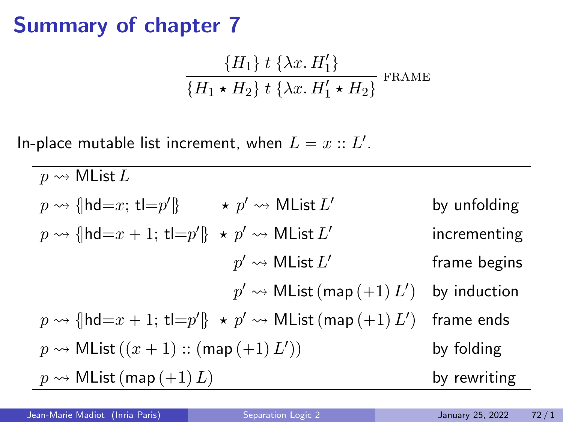$$
\frac{\{H_1\} \ t \ \{\lambda x. H_1'\}}{\{H_1 \star H_2\} \ t \ \{\lambda x. H_1' \star H_2\}} \ \text{frame}
$$

In-place mutable list increment, when  $L = x :: L'.$ 

 $p \rightsquigarrow$  MList L  $p \rightsquigarrow \{\mathsf{hd}{=}x;\, \mathsf{tl}{=}p'\} \qquad \star \ p' \rightsquigarrow \mathsf{MList}\, L$ by unfolding  $p \rightsquigarrow \{\mathsf{hd}{=}x+1; \, \mathsf{tl}{=}p'\} \; \star \; p' \rightsquigarrow \mathsf{MList}\, L'$ incrementing  $p' \leadsto \mathsf{MList}\,L'$ frame begins  $p' \leadsto \mathsf{MList}\left(\mathsf{map}\left(+1\right)L'\right)$ by induction  $p \rightsquigarrow \{\vert \mathsf{hd}{=}x+1; \, \mathsf{tl}{=}p'\}\; \star \; p' \rightsquigarrow \mathsf{MList}\left(\mathsf{map}\left(+1\right)L'\right)$ frame ends  $p \rightsquigarrow \mathsf{MList}\left( (x+1) :: \mathsf{(map}\left( +1\right) L'\right)$ by folding  $p \rightsquigarrow$  MList  $(\text{map}(+1)L)$  by rewriting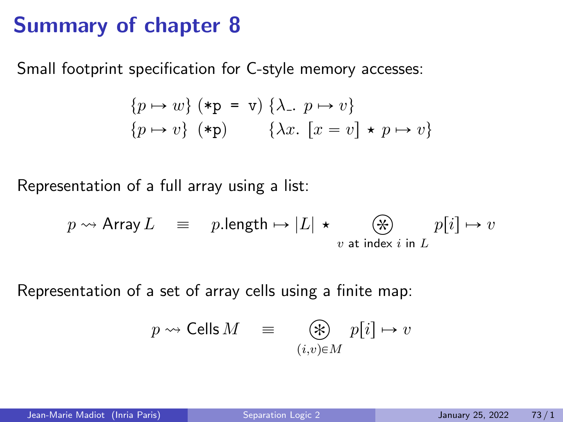Small footprint specification for C-style memory accesses:

$$
\{p \mapsto w\} \; (*\mathbf{p} = \mathbf{v}) \; \{\lambda_-, p \mapsto v\} \{p \mapsto v\} \; (*\mathbf{p}) \qquad \{\lambda x. [x = v] \star p \mapsto v\}
$$

Representation of a full array using a list:

$$
p \rightsquigarrow
$$
 Array  $L \equiv p$ .length  $\mapsto |L| \star \underset{v \text{ at index } i \text{ in } L}{\bigotimes} p[i] \mapsto v$ 

Representation of a set of array cells using a finite map:

$$
p \rightsquigarrow \mathsf{Cells}\, M \quad \equiv \quad \bigotimes_{(i,v)\in M} p[i] \mapsto v
$$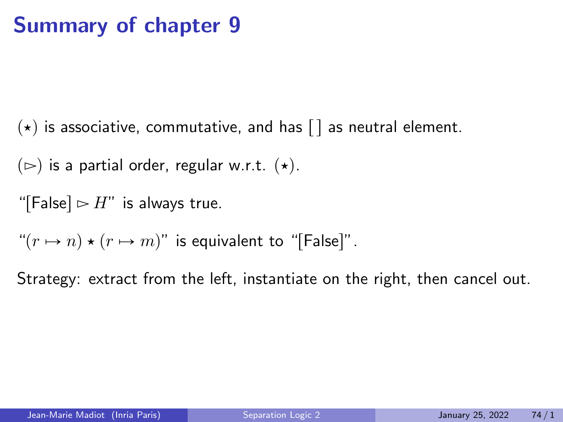$(\star)$  is associative, commutative, and has  $\lceil \cdot \rceil$  as neutral element.

 $(\triangleright)$  is a partial order, regular w.r.t.  $(\star)$ .

"[False]  $\triangleright$  H" is always true.

" $(r \mapsto n) \star (r \mapsto m)$ " is equivalent to "[False]".

Strategy: extract from the left, instantiate on the right, then cancel out.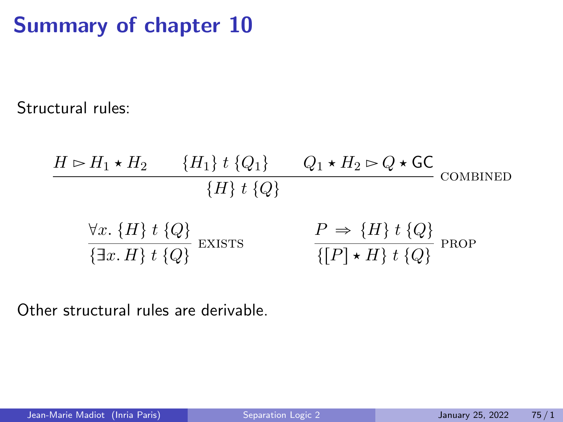Structural rules:

$$
H \rhd H_1 \star H_2 \qquad \{H_1\} \; t \; \{Q_1\} \qquad Q_1 \star H_2 \rhd Q \star \mathsf{GC}
$$
\n
$$
\{H\} \; t \; \{Q\}
$$
\n
$$
\forall x. \; \{H\} \; t \; \{Q\}
$$
\n
$$
\frac{\forall x. \; \{H\} \; t \; \{Q\}}{\{\exists x. \; H\} \; t \; \{Q\}}
$$
\n
$$
\text{EXISTS} \qquad \qquad \frac{P \Rightarrow \{H\} \; t \; \{Q\}}{\{[P] \star H\} \; t \; \{Q\}}
$$
\n
$$
\text{PROP}
$$

Other structural rules are derivable.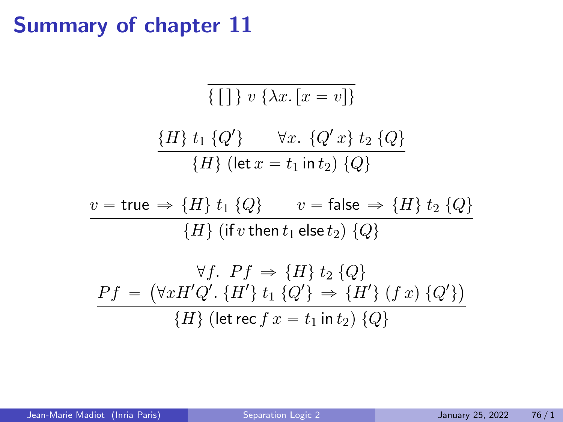$$
\{\textcolor{blue}{\fbox{}}\textcolor{blue}{\fbox{}}\} \ v \ \{\lambda x. \ [x=v]\}
$$

$$
\frac{\{H\} t_1 \{Q'\} \quad \forall x. \{Q' x\} t_2 \{Q\}}{\{H\} (\text{let } x = t_1 \text{ in } t_2) \{Q\}}
$$

$$
v = \text{true} \Rightarrow \{H\} \ t_1 \ \{Q\} \qquad v = \text{false} \Rightarrow \{H\} \ t_2 \ \{Q\}
$$

$$
\{H\} \ (\text{if } v \text{ then } t_1 \text{ else } t_2) \ \{Q\}
$$

$$
\forall f. \quad Pf \Rightarrow \{H\} \quad t_2 \quad \{Q\}
$$
\n
$$
Pf = (\forall x H' Q'. \quad \{H'\} \quad t_1 \quad \{Q'\} \Rightarrow \{H'\} \quad (f x) \quad \{Q'\}\})
$$
\n
$$
\{H\} \quad (\text{let rec } f \quad x = t_1 \text{ in } t_2) \quad \{Q\}
$$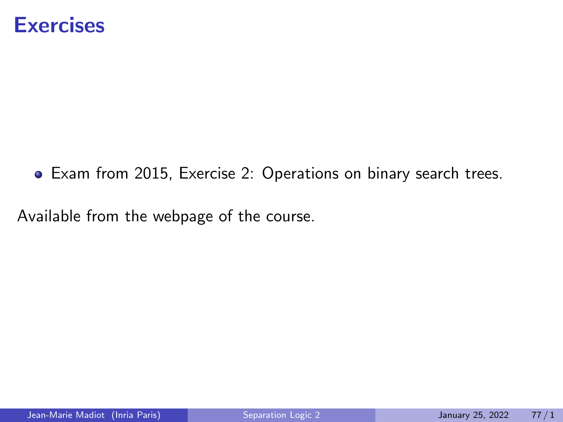#### **Exercises**

Exam from 2015, Exercise 2: Operations on binary search trees.

Available from the webpage of the course.